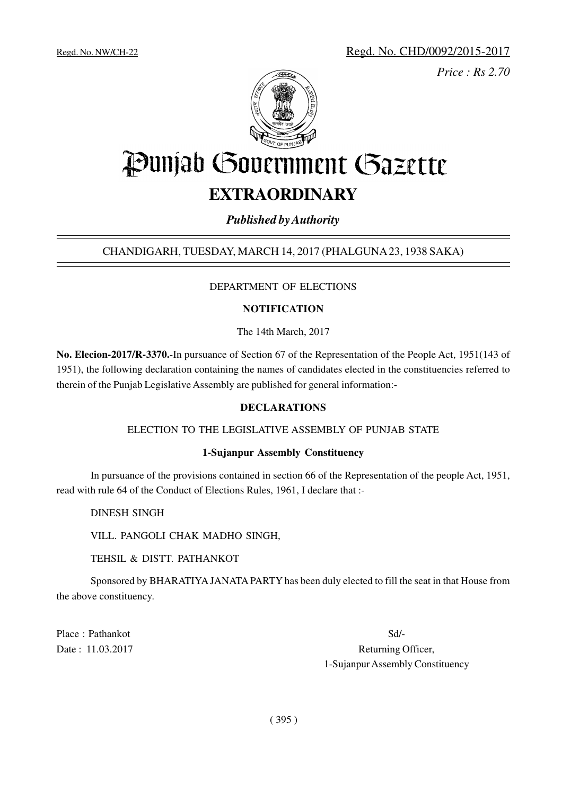*Price : Rs 2.70*



# Punjab Government Gazette **EXTRAORDINARY**

# *Published by Authority*

### CHANDIGARH, TUESDAY, MARCH 14, 2017 (PHALGUNA 23, 1938 SAKA)

#### DEPARTMENT OF ELECTIONS

#### **NOTIFICATION**

The 14th March, 2017

**No. Elecion-2017/R-3370.**-In pursuance of Section 67 of the Representation of the People Act, 1951(143 of 1951), the following declaration containing the names of candidates elected in the constituencies referred to therein of the Punjab Legislative Assembly are published for general information:-

#### **DECLARATIONS**

#### ELECTION TO THE LEGISLATIVE ASSEMBLY OF PUNJAB STATE

#### **1-Sujanpur Assembly Constituency**

In pursuance of the provisions contained in section 66 of the Representation of the people Act, 1951, read with rule 64 of the Conduct of Elections Rules, 1961, I declare that :-

DINESH SINGH

VILL. PANGOLI CHAK MADHO SINGH,

TEHSIL & DISTT. PATHANKOT

Sponsored by BHARATIYA JANATA PARTY has been duly elected to fill the seat in that House from the above constituency.

Place : Pathankot Sd<sup>1</sup>-

Date : 11.03.2017 Returning Officer, 1-Sujanpur Assembly Constituency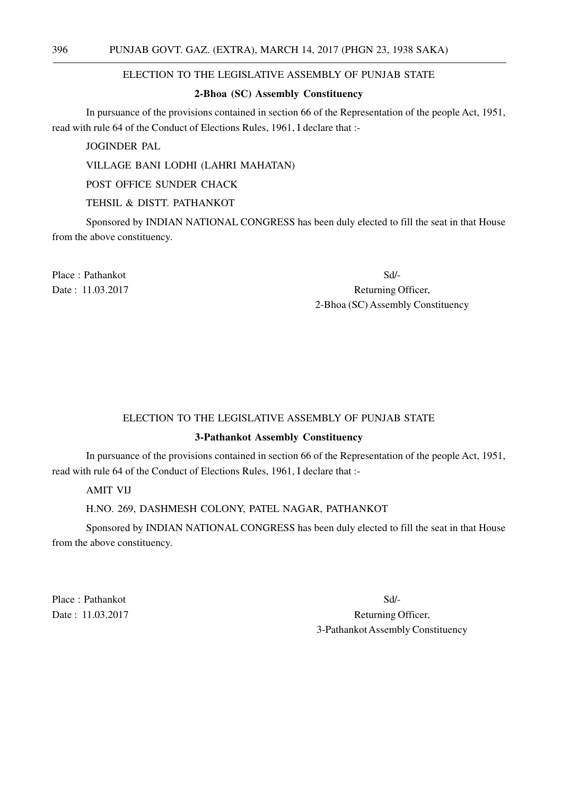#### **2-Bhoa (SC) Assembly Constituency**

In pursuance of the provisions contained in section 66 of the Representation of the people Act, 1951, read with rule 64 of the Conduct of Elections Rules, 1961, I declare that :-

JOGINDER PAL

VILLAGE BANI LODHI (LAHRI MAHATAN)

POST OFFICE SUNDER CHACK

#### TEHSIL & DISTT. PATHANKOT

Sponsored by INDIAN NATIONAL CONGRESS has been duly elected to fill the seat in that House from the above constituency.

Place : Pathankot Sd<sup>1</sup>-Date : 11.03.2017 Returning Officer, 2-Bhoa (SC) Assembly Constituency

#### ELECTION TO THE LEGISLATIVE ASSEMBLY OF PUNJAB STATE

#### **3-Pathankot Assembly Constituency**

In pursuance of the provisions contained in section 66 of the Representation of the people Act, 1951, read with rule 64 of the Conduct of Elections Rules, 1961, I declare that :-

AMIT VIJ

#### H.NO. 269, DASHMESH COLONY, PATEL NAGAR, PATHANKOT

Sponsored by INDIAN NATIONAL CONGRESS has been duly elected to fill the seat in that House from the above constituency.

Place : Pathankot Sd<sup>1</sup>-

Date : 11.03.2017 Returning Officer, 3-Pathankot Assembly Constituency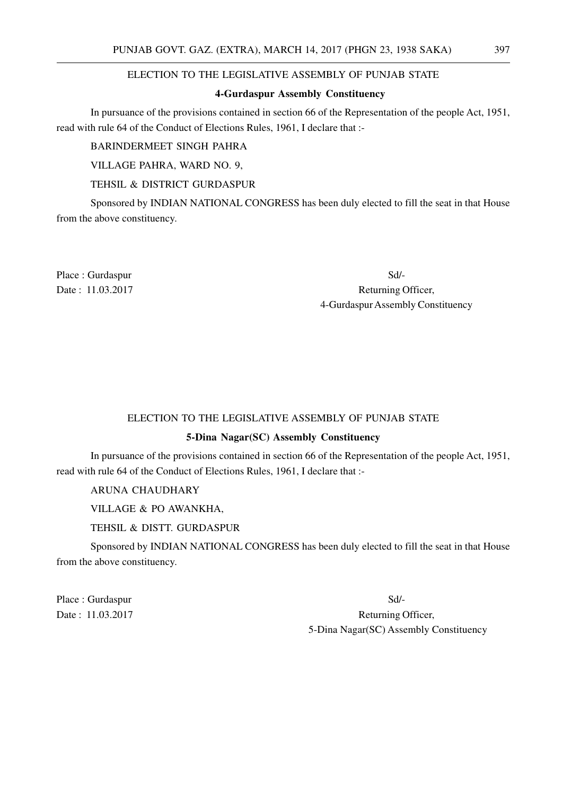#### **4-Gurdaspur Assembly Constituency**

In pursuance of the provisions contained in section 66 of the Representation of the people Act, 1951, read with rule 64 of the Conduct of Elections Rules, 1961, I declare that :-

#### BARINDERMEET SINGH PAHRA

VILLAGE PAHRA, WARD NO. 9,

#### TEHSIL & DISTRICT GURDASPUR

Sponsored by INDIAN NATIONAL CONGRESS has been duly elected to fill the seat in that House from the above constituency.

Place : Gurdaspur Sd/-Date : 11.03.2017 Returning Officer, 4-Gurdaspur Assembly Constituency

#### ELECTION TO THE LEGISLATIVE ASSEMBLY OF PUNJAB STATE

#### **5-Dina Nagar(SC) Assembly Constituency**

In pursuance of the provisions contained in section 66 of the Representation of the people Act, 1951, read with rule 64 of the Conduct of Elections Rules, 1961, I declare that :-

#### ARUNA CHAUDHARY

VILLAGE & PO AWANKHA,

#### TEHSIL & DISTT. GURDASPUR

Sponsored by INDIAN NATIONAL CONGRESS has been duly elected to fill the seat in that House from the above constituency.

Place : Gurdaspur Sd/-Date : 11.03.2017 Returning Officer,

5-Dina Nagar(SC) Assembly Constituency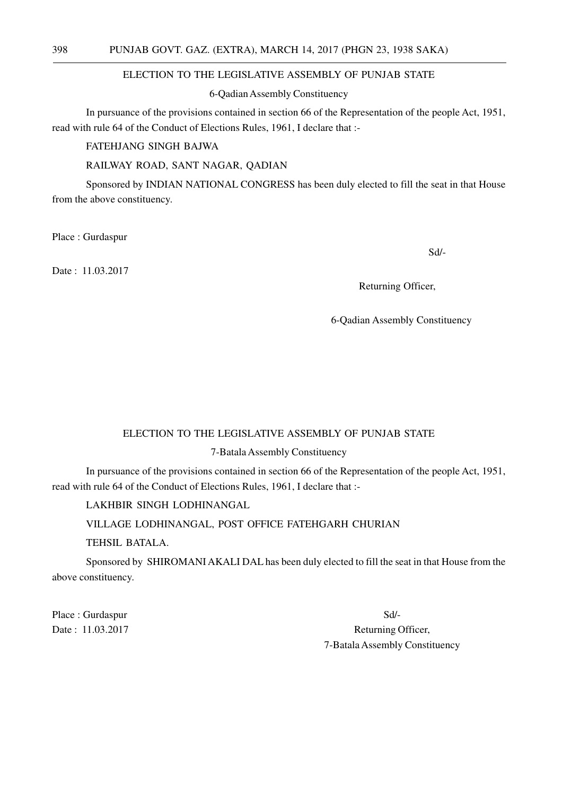#### 6-Qadian Assembly Constituency

In pursuance of the provisions contained in section 66 of the Representation of the people Act, 1951, read with rule 64 of the Conduct of Elections Rules, 1961, I declare that :-

#### FATEHJANG SINGH BAJWA

#### RAILWAY ROAD, SANT NAGAR, QADIAN

Sponsored by INDIAN NATIONAL CONGRESS has been duly elected to fill the seat in that House from the above constituency.

Place : Gurdaspur

Date : 11.03.2017

Sd/-

Returning Officer,

6-Qadian Assembly Constituency

### ELECTION TO THE LEGISLATIVE ASSEMBLY OF PUNJAB STATE

#### 7-Batala Assembly Constituency

In pursuance of the provisions contained in section 66 of the Representation of the people Act, 1951, read with rule 64 of the Conduct of Elections Rules, 1961, I declare that :-

#### LAKHBIR SINGH LODHINANGAL

VILLAGE LODHINANGAL, POST OFFICE FATEHGARH CHURIAN

#### TEHSIL BATALA.

Sponsored by SHIROMANI AKALI DAL has been duly elected to fill the seat in that House from the above constituency.

Place : Gurdaspur Sd/-

Date : 11.03.2017 Returning Officer, 7-Batala Assembly Constituency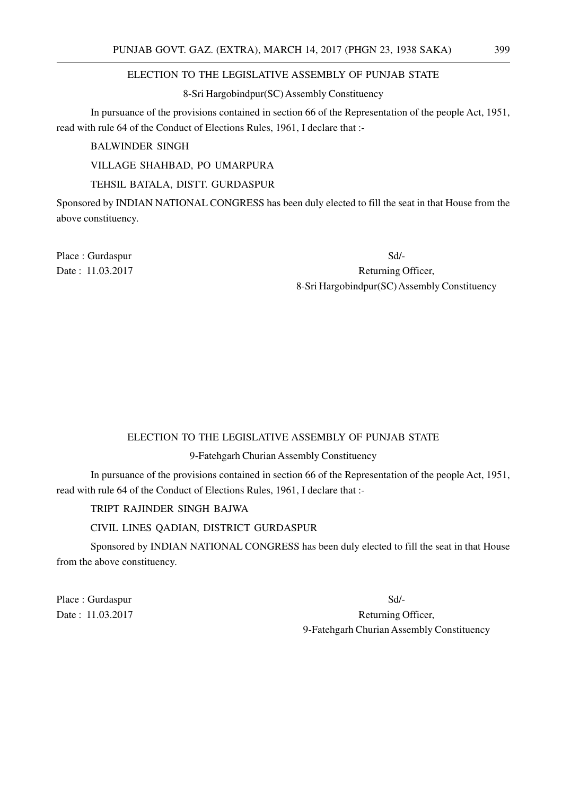8-Sri Hargobindpur(SC) Assembly Constituency

In pursuance of the provisions contained in section 66 of the Representation of the people Act, 1951, read with rule 64 of the Conduct of Elections Rules, 1961, I declare that :-

BALWINDER SINGH

VILLAGE SHAHBAD, PO UMARPURA

TEHSIL BATALA, DISTT. GURDASPUR

Sponsored by INDIAN NATIONAL CONGRESS has been duly elected to fill the seat in that House from the above constituency.

Place : Gurdaspur Sd/-

Date : 11.03.2017 Returning Officer, 8-Sri Hargobindpur(SC) Assembly Constituency

#### ELECTION TO THE LEGISLATIVE ASSEMBLY OF PUNJAB STATE

#### 9-Fatehgarh Churian Assembly Constituency

In pursuance of the provisions contained in section 66 of the Representation of the people Act, 1951, read with rule 64 of the Conduct of Elections Rules, 1961, I declare that :-

#### TRIPT RAJINDER SINGH BAJWA

#### CIVIL LINES QADIAN, DISTRICT GURDASPUR

Sponsored by INDIAN NATIONAL CONGRESS has been duly elected to fill the seat in that House from the above constituency.

Place : Gurdaspur Sd/-

Date : 11.03.2017 Returning Officer, 9-Fatehgarh Churian Assembly Constituency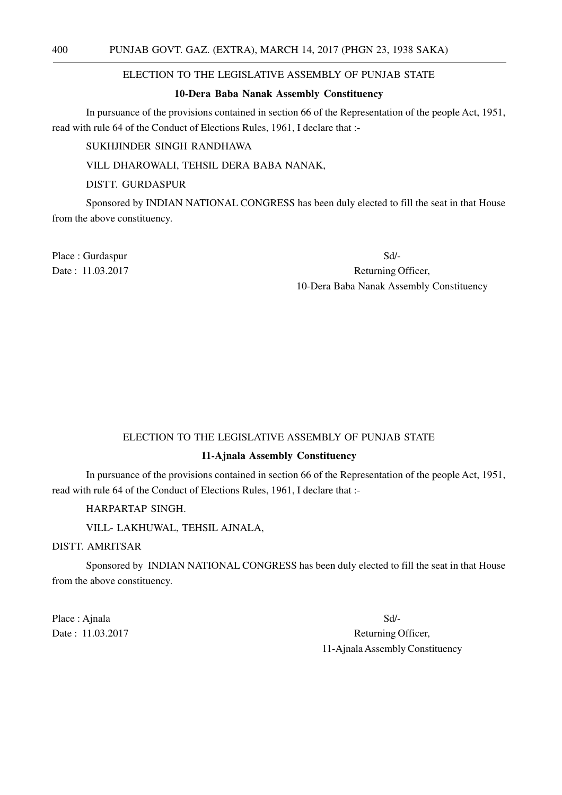#### **10-Dera Baba Nanak Assembly Constituency**

In pursuance of the provisions contained in section 66 of the Representation of the people Act, 1951, read with rule 64 of the Conduct of Elections Rules, 1961, I declare that :-

#### SUKHJINDER SINGH RANDHAWA

VILL DHAROWALI, TEHSIL DERA BABA NANAK,

#### DISTT. GURDASPUR

Sponsored by INDIAN NATIONAL CONGRESS has been duly elected to fill the seat in that House from the above constituency.

Place : Gurdaspur Sd/-

Date : 11.03.2017 Returning Officer, 10-Dera Baba Nanak Assembly Constituency

#### ELECTION TO THE LEGISLATIVE ASSEMBLY OF PUNJAB STATE

#### **11-Ajnala Assembly Constituency**

In pursuance of the provisions contained in section 66 of the Representation of the people Act, 1951, read with rule 64 of the Conduct of Elections Rules, 1961, I declare that :-

#### HARPARTAP SINGH.

VILL- LAKHUWAL, TEHSIL AJNALA,

#### DISTT. AMRITSAR

Sponsored by INDIAN NATIONAL CONGRESS has been duly elected to fill the seat in that House from the above constituency.

Place : Ajnala Sd/-Date : 11.03.2017 Returning Officer, 11-Ajnala Assembly Constituency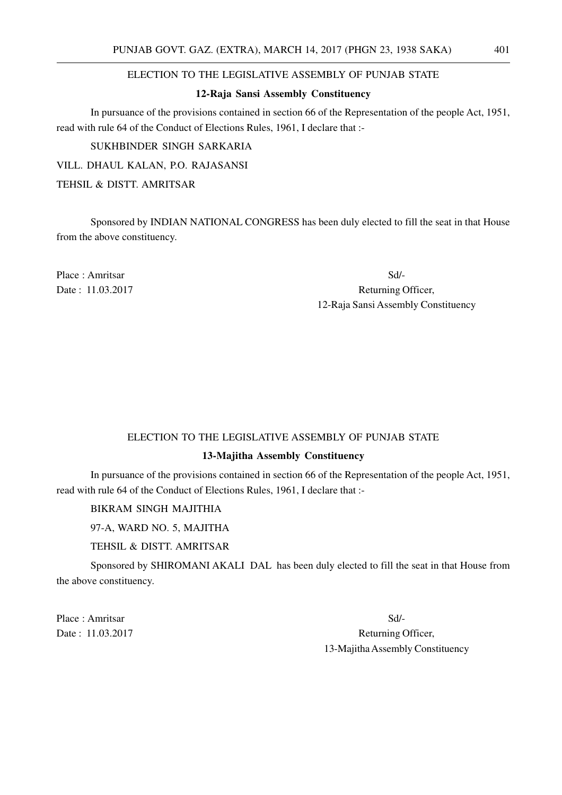#### **12-Raja Sansi Assembly Constituency**

In pursuance of the provisions contained in section 66 of the Representation of the people Act, 1951, read with rule 64 of the Conduct of Elections Rules, 1961, I declare that :-

SUKHBINDER SINGH SARKARIA

VILL. DHAUL KALAN, P.O. RAJASANSI

TEHSIL & DISTT. AMRITSAR

Sponsored by INDIAN NATIONAL CONGRESS has been duly elected to fill the seat in that House from the above constituency.

Place : Amritsar Sd<sup>1</sup> Date : 11.03.2017 Returning Officer, 12-Raja Sansi Assembly Constituency

#### ELECTION TO THE LEGISLATIVE ASSEMBLY OF PUNJAB STATE

#### **13-Majitha Assembly Constituency**

In pursuance of the provisions contained in section 66 of the Representation of the people Act, 1951, read with rule 64 of the Conduct of Elections Rules, 1961, I declare that :-

#### BIKRAM SINGH MAJITHIA

97-A, WARD NO. 5, MAJITHA

TEHSIL & DISTT. AMRITSAR

Sponsored by SHIROMANI AKALI DAL has been duly elected to fill the seat in that House from the above constituency.

Place : Amritsar Sd<sup>1</sup>-Date : 11.03.2017 Returning Officer, 13-Majitha Assembly Constituency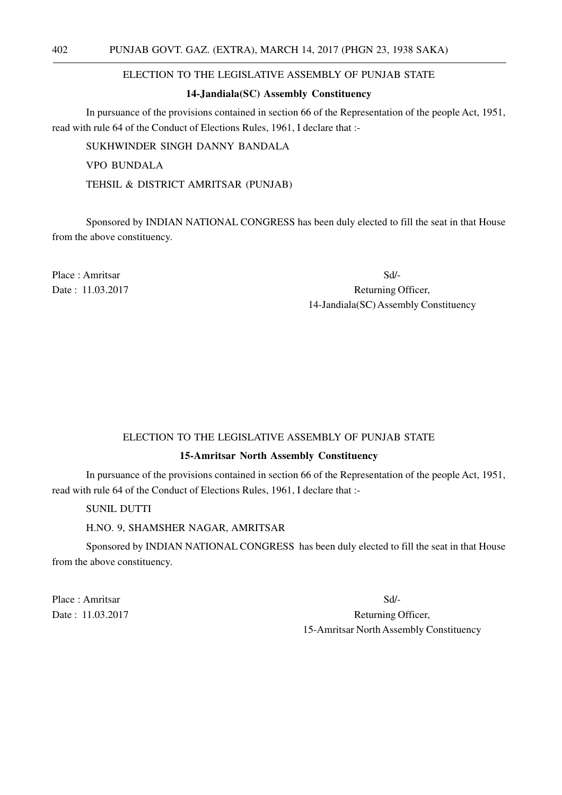#### **14-Jandiala(SC) Assembly Constituency**

In pursuance of the provisions contained in section 66 of the Representation of the people Act, 1951, read with rule 64 of the Conduct of Elections Rules, 1961, I declare that :-

SUKHWINDER SINGH DANNY BANDALA VPO BUNDALA TEHSIL & DISTRICT AMRITSAR (PUNJAB)

Sponsored by INDIAN NATIONAL CONGRESS has been duly elected to fill the seat in that House from the above constituency.

Place : Amritsar Sd<sup>1</sup> Date : 11.03.2017 Returning Officer, 14-Jandiala(SC) Assembly Constituency

#### ELECTION TO THE LEGISLATIVE ASSEMBLY OF PUNJAB STATE

#### **15-Amritsar North Assembly Constituency**

In pursuance of the provisions contained in section 66 of the Representation of the people Act, 1951, read with rule 64 of the Conduct of Elections Rules, 1961, I declare that :-

#### SUNIL DUTTI

#### H.NO. 9, SHAMSHER NAGAR, AMRITSAR

Sponsored by INDIAN NATIONAL CONGRESS has been duly elected to fill the seat in that House from the above constituency.

Place : Amritsar Sd<sup>1</sup>-Date : 11.03.2017 Returning Officer,

15-Amritsar North Assembly Constituency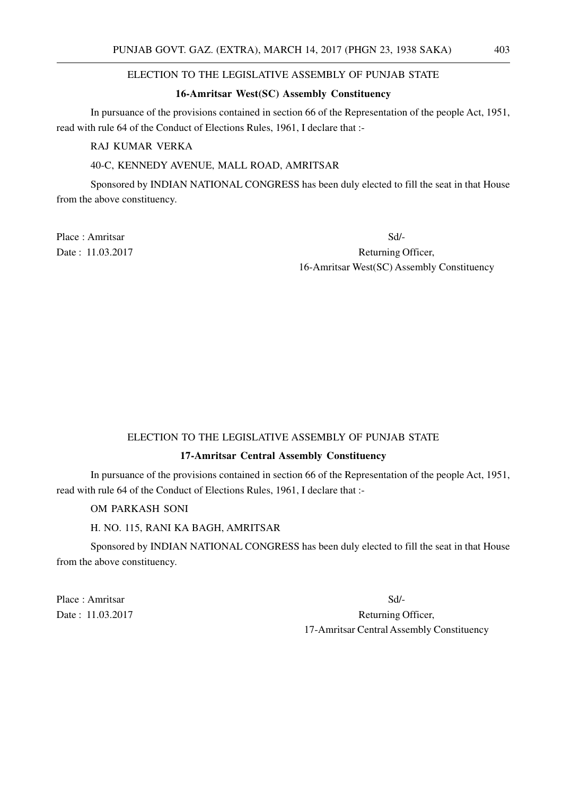#### **16-Amritsar West(SC) Assembly Constituency**

In pursuance of the provisions contained in section 66 of the Representation of the people Act, 1951, read with rule 64 of the Conduct of Elections Rules, 1961, I declare that :-

#### RAJ KUMAR VERKA

#### 40-C, KENNEDY AVENUE, MALL ROAD, AMRITSAR

Sponsored by INDIAN NATIONAL CONGRESS has been duly elected to fill the seat in that House from the above constituency.

Place : Amritsar Sd<sup>1</sup>-Date : 11.03.2017 Returning Officer, 16-Amritsar West(SC) Assembly Constituency

#### ELECTION TO THE LEGISLATIVE ASSEMBLY OF PUNJAB STATE

#### **17-Amritsar Central Assembly Constituency**

In pursuance of the provisions contained in section 66 of the Representation of the people Act, 1951, read with rule 64 of the Conduct of Elections Rules, 1961, I declare that :-

#### OM PARKASH SONI

#### H. NO. 115, RANI KA BAGH, AMRITSAR

Sponsored by INDIAN NATIONAL CONGRESS has been duly elected to fill the seat in that House from the above constituency.

Place : Amritsar Sd<sup>1</sup>-

Date : 11.03.2017 Returning Officer, 17-Amritsar Central Assembly Constituency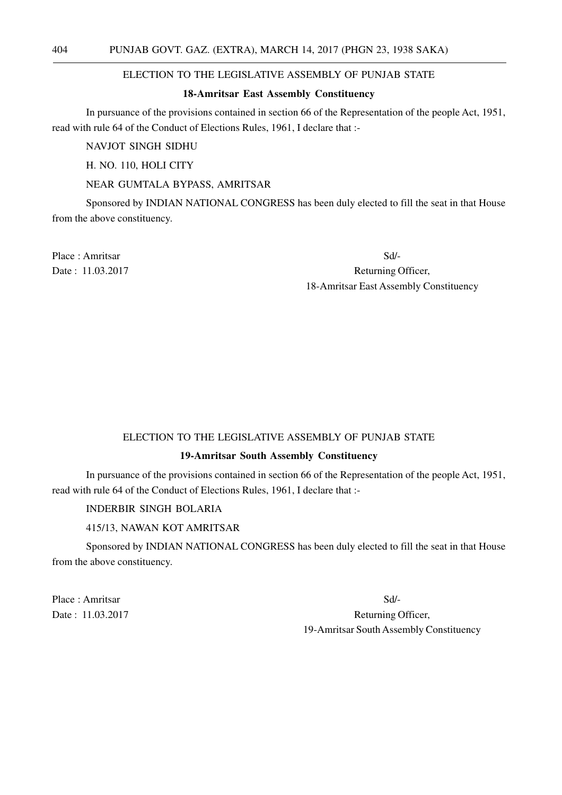#### **18-Amritsar East Assembly Constituency**

In pursuance of the provisions contained in section 66 of the Representation of the people Act, 1951, read with rule 64 of the Conduct of Elections Rules, 1961, I declare that :-

NAVJOT SINGH SIDHU

H. NO. 110, HOLI CITY

NEAR GUMTALA BYPASS, AMRITSAR

Sponsored by INDIAN NATIONAL CONGRESS has been duly elected to fill the seat in that House from the above constituency.

Place : Amritsar Sd/-

Date : 11.03.2017 Returning Officer, 18-Amritsar East Assembly Constituency

#### ELECTION TO THE LEGISLATIVE ASSEMBLY OF PUNJAB STATE

#### **19-Amritsar South Assembly Constituency**

In pursuance of the provisions contained in section 66 of the Representation of the people Act, 1951, read with rule 64 of the Conduct of Elections Rules, 1961, I declare that :-

#### INDERBIR SINGH BOLARIA

#### 415/13, NAWAN KOT AMRITSAR

Sponsored by INDIAN NATIONAL CONGRESS has been duly elected to fill the seat in that House from the above constituency.

Place : Amritsar Sd<sup>1</sup>-

Date : 11.03.2017 Returning Officer, 19-Amritsar South Assembly Constituency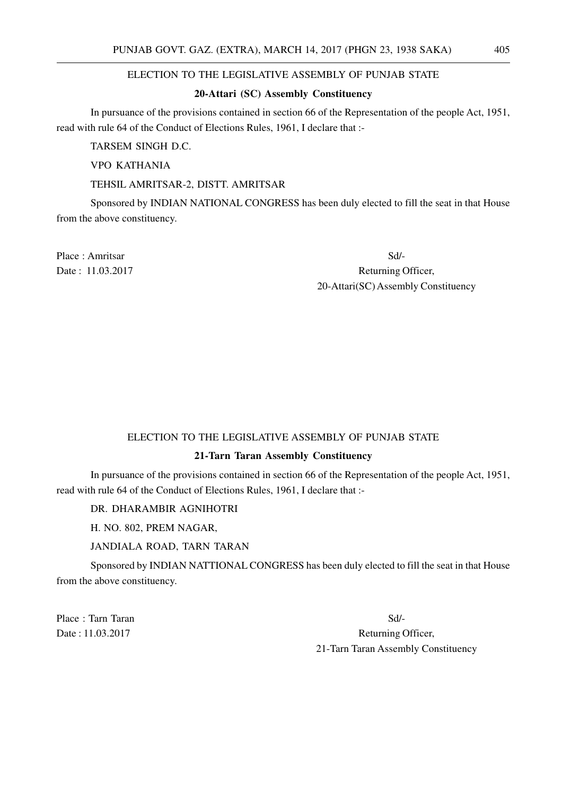#### **20-Attari (SC) Assembly Constituency**

In pursuance of the provisions contained in section 66 of the Representation of the people Act, 1951, read with rule 64 of the Conduct of Elections Rules, 1961, I declare that :-

TARSEM SINGH D.C.

VPO KATHANIA

TEHSIL AMRITSAR-2, DISTT. AMRITSAR

Sponsored by INDIAN NATIONAL CONGRESS has been duly elected to fill the seat in that House from the above constituency.

Place : Amritsar Sd/-

Date : 11.03.2017 Returning Officer, 20-Attari(SC) Assembly Constituency

#### ELECTION TO THE LEGISLATIVE ASSEMBLY OF PUNJAB STATE

#### **21-Tarn Taran Assembly Constituency**

In pursuance of the provisions contained in section 66 of the Representation of the people Act, 1951, read with rule 64 of the Conduct of Elections Rules, 1961, I declare that :-

DR. DHARAMBIR AGNIHOTRI

H. NO. 802, PREM NAGAR,

JANDIALA ROAD, TARN TARAN

Sponsored by INDIAN NATTIONAL CONGRESS has been duly elected to fill the seat in that House from the above constituency.

Place : Tarn Taran Sd<sup>1</sup> Date : 11.03.2017 Returning Officer, 21-Tarn Taran Assembly Constituency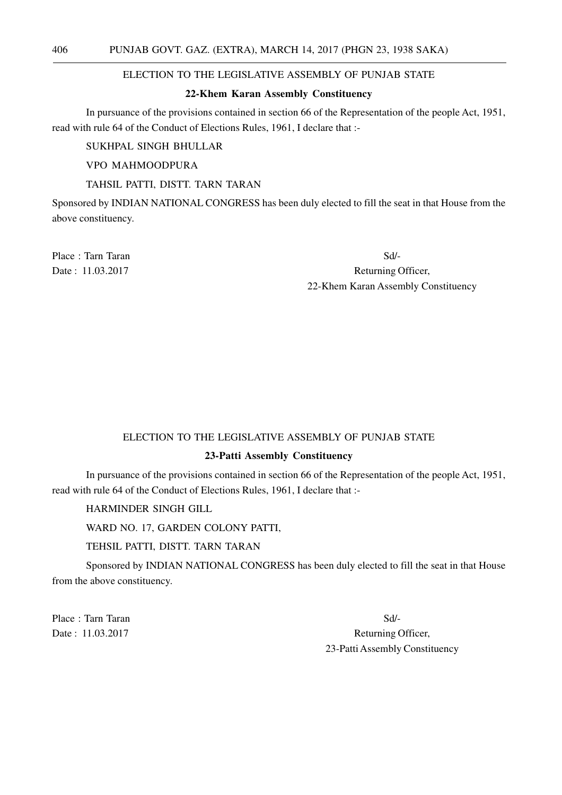#### **22-Khem Karan Assembly Constituency**

In pursuance of the provisions contained in section 66 of the Representation of the people Act, 1951, read with rule 64 of the Conduct of Elections Rules, 1961, I declare that :-

SUKHPAL SINGH BHULLAR

VPO MAHMOODPURA

TAHSIL PATTI, DISTT. TARN TARAN

Sponsored by INDIAN NATIONAL CONGRESS has been duly elected to fill the seat in that House from the above constituency.

Place : Tarn Taran Sd/-

Date : 11.03.2017 Returning Officer, 22-Khem Karan Assembly Constituency

#### ELECTION TO THE LEGISLATIVE ASSEMBLY OF PUNJAB STATE

#### **23-Patti Assembly Constituency**

In pursuance of the provisions contained in section 66 of the Representation of the people Act, 1951, read with rule 64 of the Conduct of Elections Rules, 1961, I declare that :-

HARMINDER SINGH GILL

WARD NO. 17, GARDEN COLONY PATTI,

TEHSIL PATTI, DISTT. TARN TARAN

Sponsored by INDIAN NATIONAL CONGRESS has been duly elected to fill the seat in that House from the above constituency.

Place : Tarn Taran Sd<sup>1</sup>

Date : 11.03.2017 Returning Officer, 23-Patti Assembly Constituency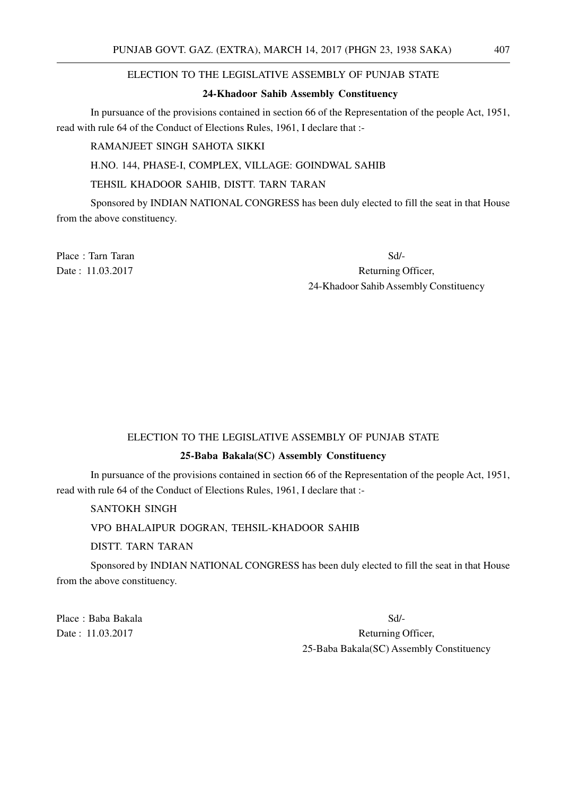#### **24-Khadoor Sahib Assembly Constituency**

In pursuance of the provisions contained in section 66 of the Representation of the people Act, 1951, read with rule 64 of the Conduct of Elections Rules, 1961, I declare that :-

#### RAMANJEET SINGH SAHOTA SIKKI

H.NO. 144, PHASE-I, COMPLEX, VILLAGE: GOINDWAL SAHIB

#### TEHSIL KHADOOR SAHIB, DISTT. TARN TARAN

Sponsored by INDIAN NATIONAL CONGRESS has been duly elected to fill the seat in that House from the above constituency.

Place : Tarn Taran Sd/-

Date : 11.03.2017 Returning Officer, 24-Khadoor Sahib Assembly Constituency

#### ELECTION TO THE LEGISLATIVE ASSEMBLY OF PUNJAB STATE

#### **25-Baba Bakala(SC) Assembly Constituency**

In pursuance of the provisions contained in section 66 of the Representation of the people Act, 1951, read with rule 64 of the Conduct of Elections Rules, 1961, I declare that :-

#### SANTOKH SINGH

#### VPO BHALAIPUR DOGRAN, TEHSIL-KHADOOR SAHIB

DISTT. TARN TARAN

Sponsored by INDIAN NATIONAL CONGRESS has been duly elected to fill the seat in that House from the above constituency.

Place : Baba Bakala Sd<sup>1</sup>-Date : 11.03.2017 Returning Officer, 25-Baba Bakala(SC) Assembly Constituency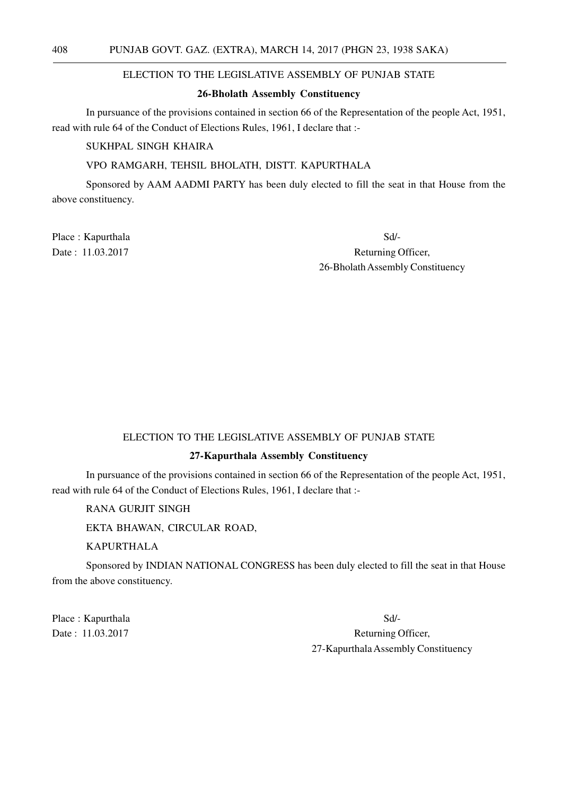#### **26-Bholath Assembly Constituency**

In pursuance of the provisions contained in section 66 of the Representation of the people Act, 1951, read with rule 64 of the Conduct of Elections Rules, 1961, I declare that :-

#### SUKHPAL SINGH KHAIRA

#### VPO RAMGARH, TEHSIL BHOLATH, DISTT. KAPURTHALA

Sponsored by AAM AADMI PARTY has been duly elected to fill the seat in that House from the above constituency.

Place : Kapurthala Sd/-

Date : 11.03.2017 Returning Officer, 26-Bholath Assembly Constituency

#### ELECTION TO THE LEGISLATIVE ASSEMBLY OF PUNJAB STATE

#### **27-Kapurthala Assembly Constituency**

In pursuance of the provisions contained in section 66 of the Representation of the people Act, 1951, read with rule 64 of the Conduct of Elections Rules, 1961, I declare that :-

RANA GURJIT SINGH

EKTA BHAWAN, CIRCULAR ROAD,

KAPURTHALA

Sponsored by INDIAN NATIONAL CONGRESS has been duly elected to fill the seat in that House from the above constituency.

Place : Kapurthala Sd/-Date : 11.03.2017 Returning Officer, 27-Kapurthala Assembly Constituency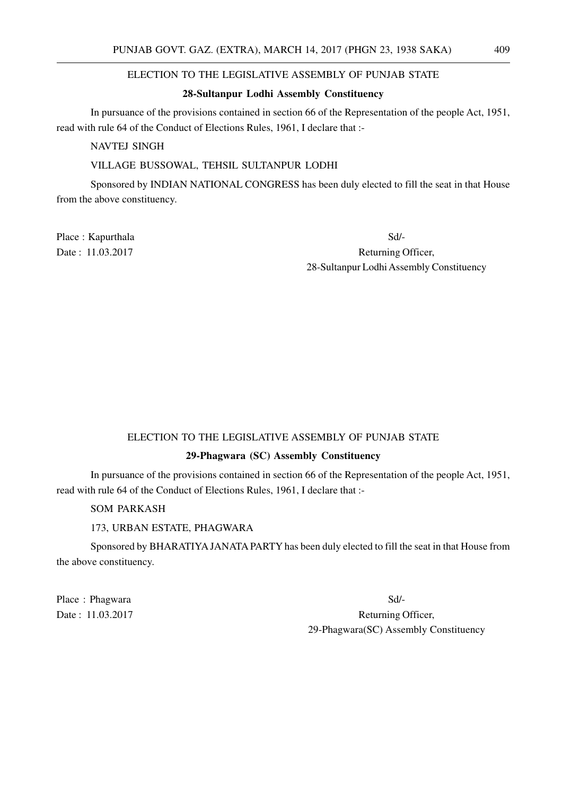#### **28-Sultanpur Lodhi Assembly Constituency**

In pursuance of the provisions contained in section 66 of the Representation of the people Act, 1951, read with rule 64 of the Conduct of Elections Rules, 1961, I declare that :-

NAVTEJ SINGH

#### VILLAGE BUSSOWAL, TEHSIL SULTANPUR LODHI

Sponsored by INDIAN NATIONAL CONGRESS has been duly elected to fill the seat in that House from the above constituency.

Place : Kapurthala Sd/-

Date : 11.03.2017 Returning Officer, 28-Sultanpur Lodhi Assembly Constituency

#### ELECTION TO THE LEGISLATIVE ASSEMBLY OF PUNJAB STATE

#### **29-Phagwara (SC) Assembly Constituency**

In pursuance of the provisions contained in section 66 of the Representation of the people Act, 1951, read with rule 64 of the Conduct of Elections Rules, 1961, I declare that :-

#### SOM PARKASH

#### 173, URBAN ESTATE, PHAGWARA

Sponsored by BHARATIYA JANATA PARTY has been duly elected to fill the seat in that House from the above constituency.

Place : Phagwara Sd/-

Date : 11.03.2017 Returning Officer, 29-Phagwara(SC) Assembly Constituency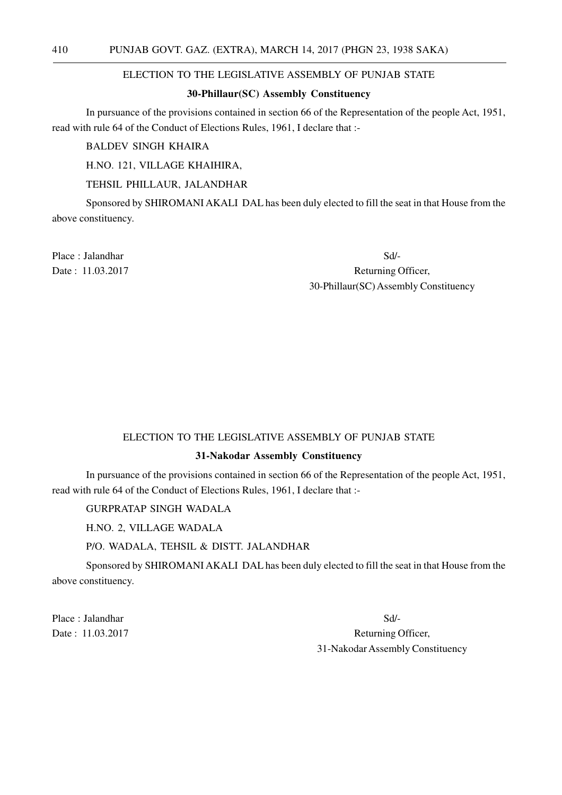#### **30-Phillaur(SC) Assembly Constituency**

In pursuance of the provisions contained in section 66 of the Representation of the people Act, 1951, read with rule 64 of the Conduct of Elections Rules, 1961, I declare that :-

#### BALDEV SINGH KHAIRA

H.NO. 121, VILLAGE KHAIHIRA,

TEHSIL PHILLAUR, JALANDHAR

Sponsored by SHIROMANI AKALI DAL has been duly elected to fill the seat in that House from the above constituency.

Place : Jalandhar Sd/-

Date : 11.03.2017 Returning Officer, 30-Phillaur(SC) Assembly Constituency

#### ELECTION TO THE LEGISLATIVE ASSEMBLY OF PUNJAB STATE

#### **31-Nakodar Assembly Constituency**

In pursuance of the provisions contained in section 66 of the Representation of the people Act, 1951, read with rule 64 of the Conduct of Elections Rules, 1961, I declare that :-

#### GURPRATAP SINGH WADALA

H.NO. 2, VILLAGE WADALA

#### P/O. WADALA, TEHSIL & DISTT. JALANDHAR

Sponsored by SHIROMANI AKALI DAL has been duly elected to fill the seat in that House from the above constituency.

Place : Jalandhar Sd<sup>1</sup>-

Date : 11.03.2017 Returning Officer, 31-Nakodar Assembly Constituency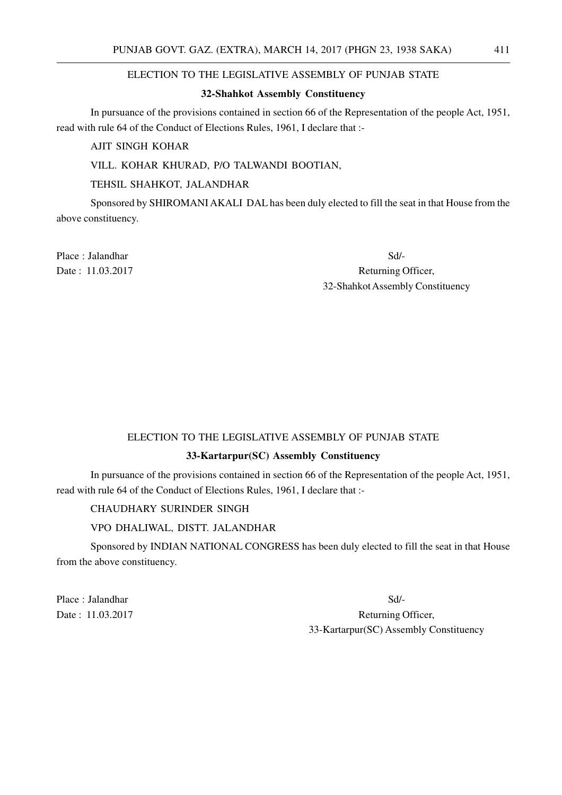#### **32-Shahkot Assembly Constituency**

In pursuance of the provisions contained in section 66 of the Representation of the people Act, 1951, read with rule 64 of the Conduct of Elections Rules, 1961, I declare that :-

#### AJIT SINGH KOHAR

VILL. KOHAR KHURAD, P/O TALWANDI BOOTIAN,

#### TEHSIL SHAHKOT, JALANDHAR

Sponsored by SHIROMANI AKALI DAL has been duly elected to fill the seat in that House from the above constituency.

Place : Jalandhar Sd/-

# Date : 11.03.2017 Returning Officer, 32-Shahkot Assembly Constituency

#### ELECTION TO THE LEGISLATIVE ASSEMBLY OF PUNJAB STATE

#### **33-Kartarpur(SC) Assembly Constituency**

In pursuance of the provisions contained in section 66 of the Representation of the people Act, 1951, read with rule 64 of the Conduct of Elections Rules, 1961, I declare that :-

#### CHAUDHARY SURINDER SINGH

#### VPO DHALIWAL, DISTT. JALANDHAR

Sponsored by INDIAN NATIONAL CONGRESS has been duly elected to fill the seat in that House from the above constituency.

Place : Jalandhar Sd<sup>1</sup>-

# Date : 11.03.2017 Returning Officer, 33-Kartarpur(SC) Assembly Constituency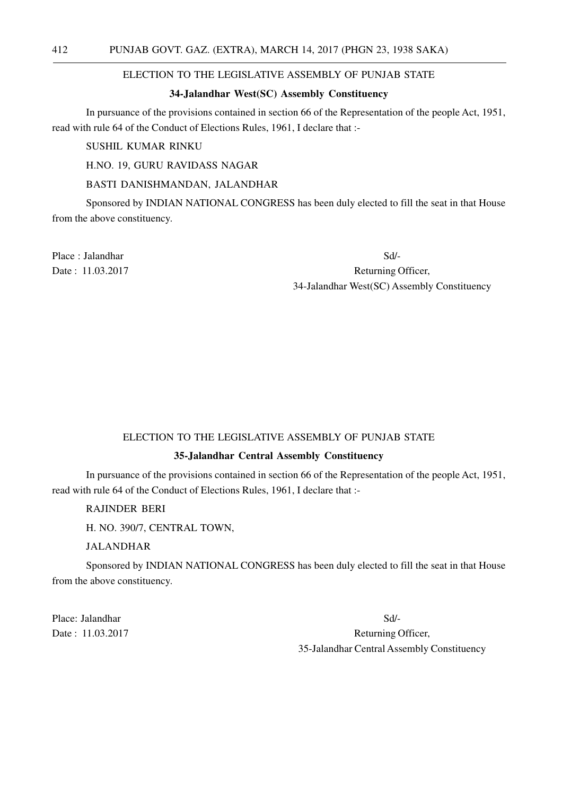#### **34-Jalandhar West(SC) Assembly Constituency**

In pursuance of the provisions contained in section 66 of the Representation of the people Act, 1951, read with rule 64 of the Conduct of Elections Rules, 1961, I declare that :-

SUSHIL KUMAR RINKU

H.NO. 19, GURU RAVIDASS NAGAR

#### BASTI DANISHMANDAN, JALANDHAR

Sponsored by INDIAN NATIONAL CONGRESS has been duly elected to fill the seat in that House from the above constituency.

Place : Jalandhar Sd/-

Date : 11.03.2017 Returning Officer, 34-Jalandhar West(SC) Assembly Constituency

#### ELECTION TO THE LEGISLATIVE ASSEMBLY OF PUNJAB STATE

#### **35-Jalandhar Central Assembly Constituency**

In pursuance of the provisions contained in section 66 of the Representation of the people Act, 1951, read with rule 64 of the Conduct of Elections Rules, 1961, I declare that :-

#### RAJINDER BERI

H. NO. 390/7, CENTRAL TOWN,

JALANDHAR

Sponsored by INDIAN NATIONAL CONGRESS has been duly elected to fill the seat in that House from the above constituency.

Place: Jalandhar Sd<sup>1</sup>-Date : 11.03.2017 Returning Officer, 35-Jalandhar Central Assembly Constituency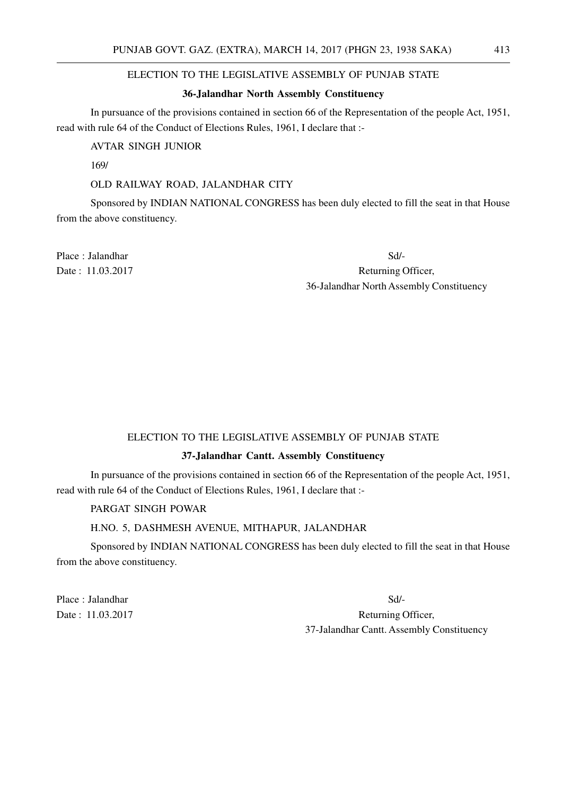#### **36-Jalandhar North Assembly Constituency**

In pursuance of the provisions contained in section 66 of the Representation of the people Act, 1951, read with rule 64 of the Conduct of Elections Rules, 1961, I declare that :-

AVTAR SINGH JUNIOR

169/

#### OLD RAILWAY ROAD, JALANDHAR CITY

Sponsored by INDIAN NATIONAL CONGRESS has been duly elected to fill the seat in that House from the above constituency.

Place : Jalandhar Sd/-

Date : 11.03.2017 Returning Officer, 36-Jalandhar North Assembly Constituency

#### ELECTION TO THE LEGISLATIVE ASSEMBLY OF PUNJAB STATE

#### **37-Jalandhar Cantt. Assembly Constituency**

In pursuance of the provisions contained in section 66 of the Representation of the people Act, 1951, read with rule 64 of the Conduct of Elections Rules, 1961, I declare that :-

#### PARGAT SINGH POWAR

### H.NO. 5, DASHMESH AVENUE, MITHAPUR, JALANDHAR

Sponsored by INDIAN NATIONAL CONGRESS has been duly elected to fill the seat in that House from the above constituency.

Place : Jalandhar Sd<sup>1</sup>-

Date : 11.03.2017 Returning Officer, 37-Jalandhar Cantt. Assembly Constituency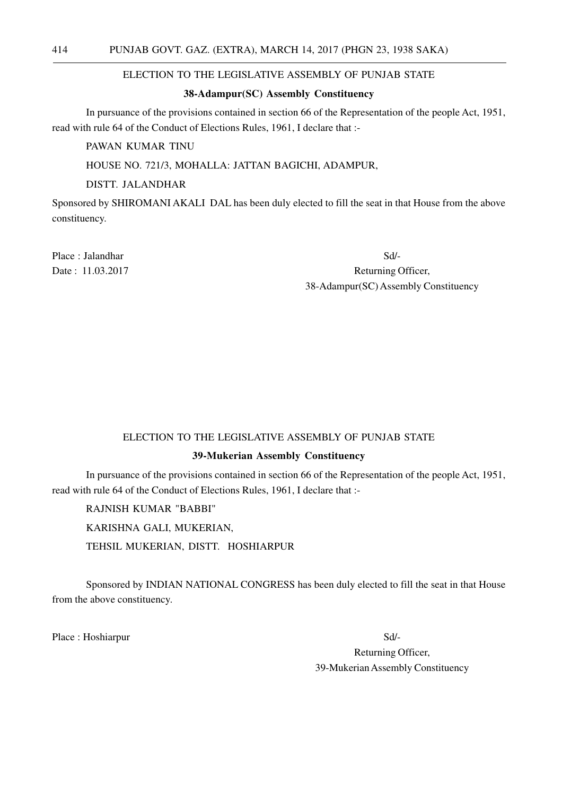#### **38-Adampur(SC) Assembly Constituency**

In pursuance of the provisions contained in section 66 of the Representation of the people Act, 1951, read with rule 64 of the Conduct of Elections Rules, 1961, I declare that :-

PAWAN KUMAR TINU HOUSE NO. 721/3, MOHALLA: JATTAN BAGICHI, ADAMPUR, DISTT. JALANDHAR

Sponsored by SHIROMANI AKALI DAL has been duly elected to fill the seat in that House from the above constituency.

Place : Jalandhar Sd/-

Date : 11.03.2017 Returning Officer, 38-Adampur(SC) Assembly Constituency

#### ELECTION TO THE LEGISLATIVE ASSEMBLY OF PUNJAB STATE

#### **39-Mukerian Assembly Constituency**

In pursuance of the provisions contained in section 66 of the Representation of the people Act, 1951, read with rule 64 of the Conduct of Elections Rules, 1961, I declare that :-

RAJNISH KUMAR "BABBI"

KARISHNA GALI, MUKERIAN,

TEHSIL MUKERIAN, DISTT. HOSHIARPUR

Sponsored by INDIAN NATIONAL CONGRESS has been duly elected to fill the seat in that House from the above constituency.

Place : Hoshiarpur Sd/-

Returning Officer, 39-Mukerian Assembly Constituency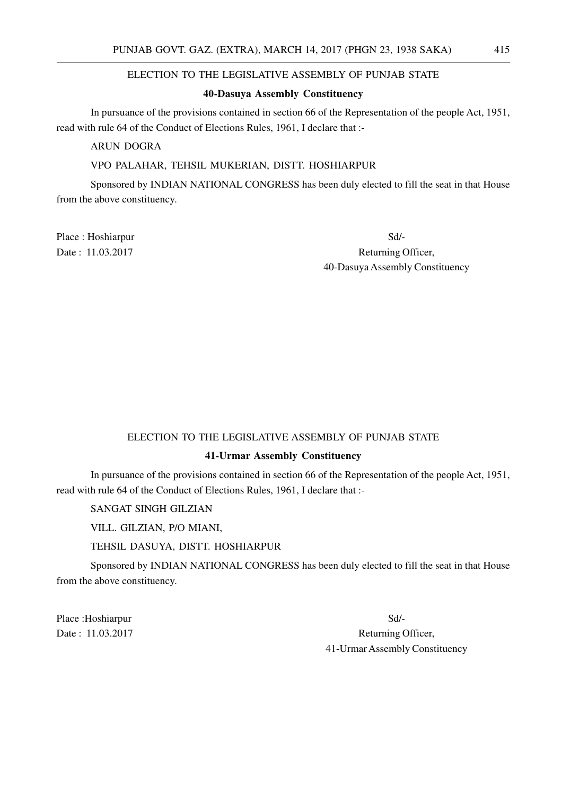#### **40-Dasuya Assembly Constituency**

In pursuance of the provisions contained in section 66 of the Representation of the people Act, 1951, read with rule 64 of the Conduct of Elections Rules, 1961, I declare that :-

ARUN DOGRA

#### VPO PALAHAR, TEHSIL MUKERIAN, DISTT. HOSHIARPUR

Sponsored by INDIAN NATIONAL CONGRESS has been duly elected to fill the seat in that House from the above constituency.

Place : Hoshiarpur Sd/-

Date : 11.03.2017 Returning Officer, 40-Dasuya Assembly Constituency

#### ELECTION TO THE LEGISLATIVE ASSEMBLY OF PUNJAB STATE

#### **41-Urmar Assembly Constituency**

In pursuance of the provisions contained in section 66 of the Representation of the people Act, 1951, read with rule 64 of the Conduct of Elections Rules, 1961, I declare that :-

SANGAT SINGH GILZIAN

VILL. GILZIAN, P/O MIANI,

TEHSIL DASUYA, DISTT. HOSHIARPUR

Sponsored by INDIAN NATIONAL CONGRESS has been duly elected to fill the seat in that House from the above constituency.

Place : Hoshiarpur Sd/-Date : 11.03.2017 Returning Officer, 41-Urmar Assembly Constituency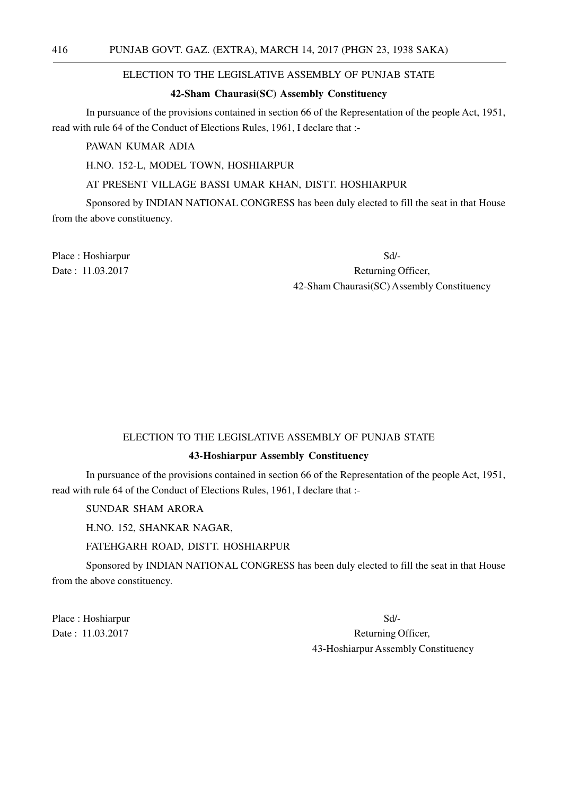#### **42-Sham Chaurasi(SC) Assembly Constituency**

In pursuance of the provisions contained in section 66 of the Representation of the people Act, 1951, read with rule 64 of the Conduct of Elections Rules, 1961, I declare that :-

PAWAN KUMAR ADIA

H.NO. 152-L, MODEL TOWN, HOSHIARPUR

AT PRESENT VILLAGE BASSI UMAR KHAN, DISTT. HOSHIARPUR

Sponsored by INDIAN NATIONAL CONGRESS has been duly elected to fill the seat in that House from the above constituency.

Place : Hoshiarpur Sd/-

Date : 11.03.2017 Returning Officer, 42-Sham Chaurasi(SC) Assembly Constituency

#### ELECTION TO THE LEGISLATIVE ASSEMBLY OF PUNJAB STATE

#### **43-Hoshiarpur Assembly Constituency**

In pursuance of the provisions contained in section 66 of the Representation of the people Act, 1951, read with rule 64 of the Conduct of Elections Rules, 1961, I declare that :-

#### SUNDAR SHAM ARORA

H.NO. 152, SHANKAR NAGAR,

#### FATEHGARH ROAD, DISTT. HOSHIARPUR

Sponsored by INDIAN NATIONAL CONGRESS has been duly elected to fill the seat in that House from the above constituency.

Place : Hoshiarpur Sd/-Date : 11.03.2017 Returning Officer, 43-Hoshiarpur Assembly Constituency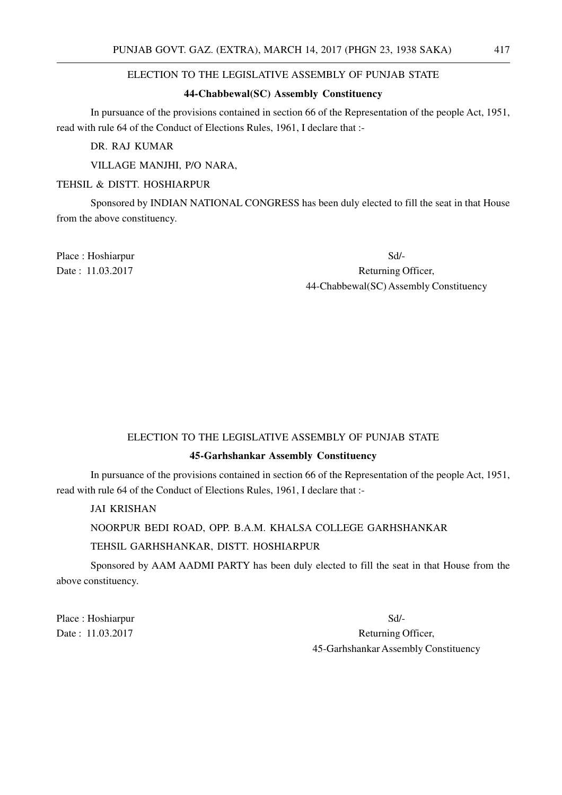#### **44-Chabbewal(SC) Assembly Constituency**

In pursuance of the provisions contained in section 66 of the Representation of the people Act, 1951, read with rule 64 of the Conduct of Elections Rules, 1961, I declare that :-

DR. RAJ KUMAR

VILLAGE MANJHI, P/O NARA,

#### TEHSIL & DISTT. HOSHIARPUR

Sponsored by INDIAN NATIONAL CONGRESS has been duly elected to fill the seat in that House from the above constituency.

Place : Hoshiarpur Sd/-

Date : 11.03.2017 Returning Officer, 44-Chabbewal(SC) Assembly Constituency

#### ELECTION TO THE LEGISLATIVE ASSEMBLY OF PUNJAB STATE

#### **45-Garhshankar Assembly Constituency**

In pursuance of the provisions contained in section 66 of the Representation of the people Act, 1951, read with rule 64 of the Conduct of Elections Rules, 1961, I declare that :-

#### JAI KRISHAN

NOORPUR BEDI ROAD, OPP. B.A.M. KHALSA COLLEGE GARHSHANKAR TEHSIL GARHSHANKAR, DISTT. HOSHIARPUR

Sponsored by AAM AADMI PARTY has been duly elected to fill the seat in that House from the above constituency.

Place : Hoshiarpur Sd/-Date : 11.03.2017 Returning Officer, 45-Garhshankar Assembly Constituency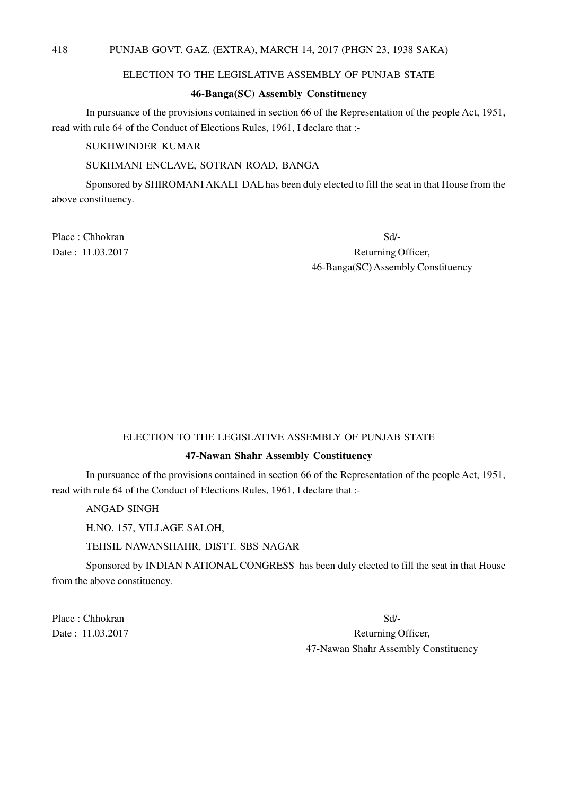#### **46-Banga(SC) Assembly Constituency**

In pursuance of the provisions contained in section 66 of the Representation of the people Act, 1951, read with rule 64 of the Conduct of Elections Rules, 1961, I declare that :-

#### SUKHWINDER KUMAR

#### SUKHMANI ENCLAVE, SOTRAN ROAD, BANGA

Sponsored by SHIROMANI AKALI DAL has been duly elected to fill the seat in that House from the above constituency.

Place : Chhokran Sd<sup>1</sup>-Date : 11.03.2017 Returning Officer, 46-Banga(SC) Assembly Constituency

#### ELECTION TO THE LEGISLATIVE ASSEMBLY OF PUNJAB STATE

#### **47-Nawan Shahr Assembly Constituency**

In pursuance of the provisions contained in section 66 of the Representation of the people Act, 1951, read with rule 64 of the Conduct of Elections Rules, 1961, I declare that :-

ANGAD SINGH

H.NO. 157, VILLAGE SALOH,

TEHSIL NAWANSHAHR, DISTT. SBS NAGAR

Sponsored by INDIAN NATIONAL CONGRESS has been duly elected to fill the seat in that House from the above constituency.

Place : Chhokran Sd<sup>1</sup>-Date : 11.03.2017 Returning Officer, 47-Nawan Shahr Assembly Constituency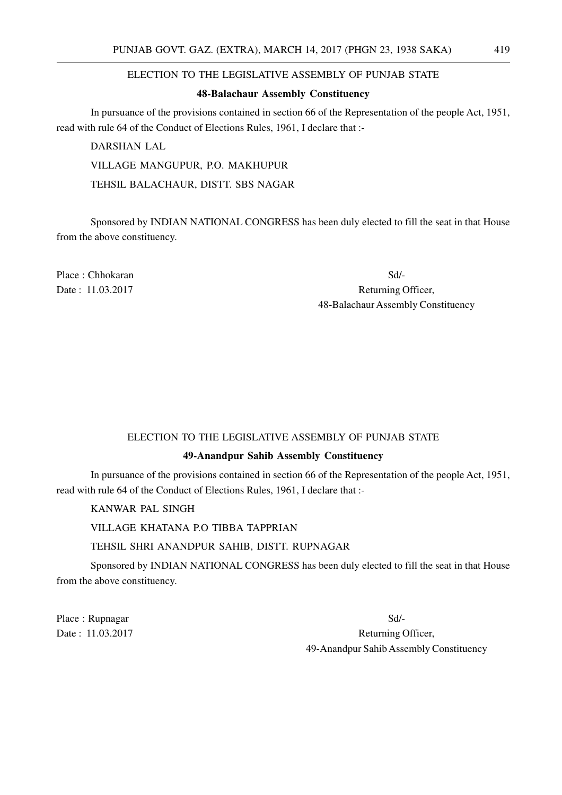#### **48-Balachaur Assembly Constituency**

In pursuance of the provisions contained in section 66 of the Representation of the people Act, 1951, read with rule 64 of the Conduct of Elections Rules, 1961, I declare that :-

DARSHAN LAL VILLAGE MANGUPUR, P.O. MAKHUPUR TEHSIL BALACHAUR, DISTT. SBS NAGAR

Sponsored by INDIAN NATIONAL CONGRESS has been duly elected to fill the seat in that House from the above constituency.

Place : Chhokaran Sd<sup>1</sup>-Date : 11.03.2017 Returning Officer, 48-Balachaur Assembly Constituency

#### ELECTION TO THE LEGISLATIVE ASSEMBLY OF PUNJAB STATE

#### **49-Anandpur Sahib Assembly Constituency**

In pursuance of the provisions contained in section 66 of the Representation of the people Act, 1951, read with rule 64 of the Conduct of Elections Rules, 1961, I declare that :-

#### KANWAR PAL SINGH

VILLAGE KHATANA P.O TIBBA TAPPRIAN

#### TEHSIL SHRI ANANDPUR SAHIB, DISTT. RUPNAGAR

Sponsored by INDIAN NATIONAL CONGRESS has been duly elected to fill the seat in that House from the above constituency.

Place : Rupnagar Sd/-Date : 11.03.2017 Returning Officer, 49-Anandpur Sahib Assembly Constituency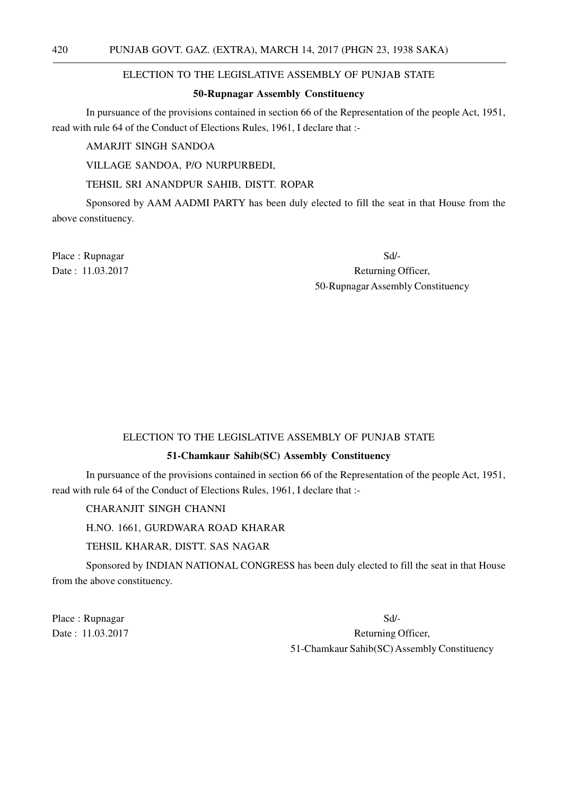#### **50-Rupnagar Assembly Constituency**

In pursuance of the provisions contained in section 66 of the Representation of the people Act, 1951, read with rule 64 of the Conduct of Elections Rules, 1961, I declare that :-

#### AMARJIT SINGH SANDOA

VILLAGE SANDOA, P/O NURPURBEDI,

#### TEHSIL SRI ANANDPUR SAHIB, DISTT. ROPAR

Sponsored by AAM AADMI PARTY has been duly elected to fill the seat in that House from the above constituency.

Place : Rupnagar Sd/-

Date : 11.03.2017 Returning Officer, 50-Rupnagar Assembly Constituency

#### ELECTION TO THE LEGISLATIVE ASSEMBLY OF PUNJAB STATE

#### **51-Chamkaur Sahib(SC) Assembly Constituency**

In pursuance of the provisions contained in section 66 of the Representation of the people Act, 1951, read with rule 64 of the Conduct of Elections Rules, 1961, I declare that :-

#### CHARANJIT SINGH CHANNI

H.NO. 1661, GURDWARA ROAD KHARAR

#### TEHSIL KHARAR, DISTT. SAS NAGAR

Sponsored by INDIAN NATIONAL CONGRESS has been duly elected to fill the seat in that House from the above constituency.

Place : Rupnagar Sd/-Date : 11.03.2017 Returning Officer, 51-Chamkaur Sahib(SC) Assembly Constituency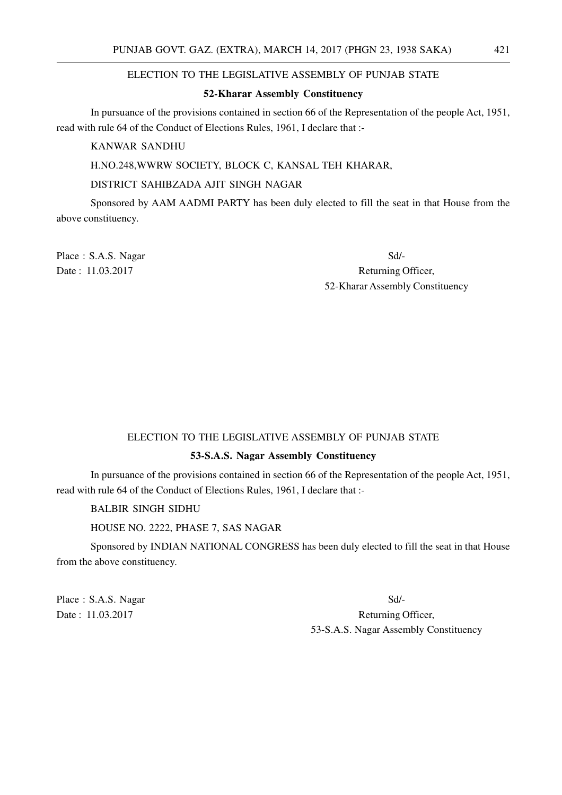#### **52-Kharar Assembly Constituency**

In pursuance of the provisions contained in section 66 of the Representation of the people Act, 1951, read with rule 64 of the Conduct of Elections Rules, 1961, I declare that :-

KANWAR SANDHU

H.NO.248,WWRW SOCIETY, BLOCK C, KANSAL TEH KHARAR,

DISTRICT SAHIBZADA AJIT SINGH NAGAR

Sponsored by AAM AADMI PARTY has been duly elected to fill the seat in that House from the above constituency.

Place : S.A.S. Nagar Sd<sup>1</sup>-

Date : 11.03.2017 Returning Officer, 52-Kharar Assembly Constituency

#### ELECTION TO THE LEGISLATIVE ASSEMBLY OF PUNJAB STATE

#### **53-S.A.S. Nagar Assembly Constituency**

In pursuance of the provisions contained in section 66 of the Representation of the people Act, 1951, read with rule 64 of the Conduct of Elections Rules, 1961, I declare that :-

#### BALBIR SINGH SIDHU

HOUSE NO. 2222, PHASE 7, SAS NAGAR

Sponsored by INDIAN NATIONAL CONGRESS has been duly elected to fill the seat in that House from the above constituency.

Place : S.A.S. Nagar Sd<sup>1</sup>-

Date : 11.03.2017 Returning Officer, 53-S.A.S. Nagar Assembly Constituency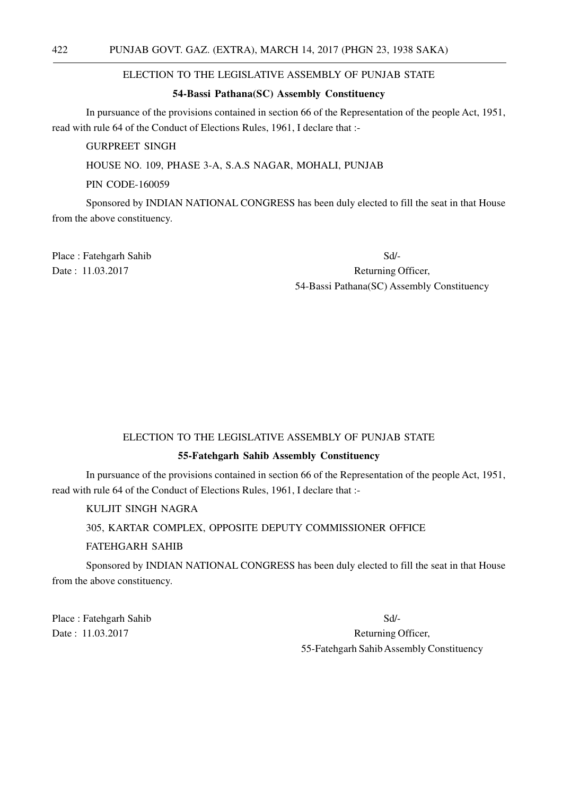#### **54-Bassi Pathana(SC) Assembly Constituency**

In pursuance of the provisions contained in section 66 of the Representation of the people Act, 1951, read with rule 64 of the Conduct of Elections Rules, 1961, I declare that :-

GURPREET SINGH

HOUSE NO. 109, PHASE 3-A, S.A.S NAGAR, MOHALI, PUNJAB

PIN CODE-160059

Sponsored by INDIAN NATIONAL CONGRESS has been duly elected to fill the seat in that House from the above constituency.

Place : Fatehgarh Sahib Sd/-

Date : 11.03.2017 Returning Officer, 54-Bassi Pathana(SC) Assembly Constituency

#### ELECTION TO THE LEGISLATIVE ASSEMBLY OF PUNJAB STATE

#### **55-Fatehgarh Sahib Assembly Constituency**

In pursuance of the provisions contained in section 66 of the Representation of the people Act, 1951, read with rule 64 of the Conduct of Elections Rules, 1961, I declare that :-

#### KULJIT SINGH NAGRA

305, KARTAR COMPLEX, OPPOSITE DEPUTY COMMISSIONER OFFICE

#### FATEHGARH SAHIB

Sponsored by INDIAN NATIONAL CONGRESS has been duly elected to fill the seat in that House from the above constituency.

Place : Fatehgarh Sahib Sd/-

Date : 11.03.2017 Returning Officer, 55-Fatehgarh Sahib Assembly Constituency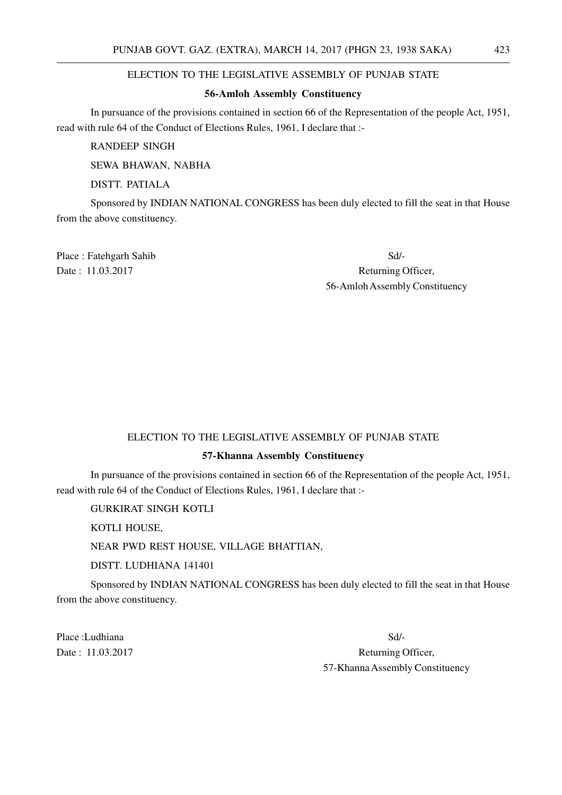#### **56-Amloh Assembly Constituency**

In pursuance of the provisions contained in section 66 of the Representation of the people Act, 1951, read with rule 64 of the Conduct of Elections Rules, 1961, I declare that :-

RANDEEP SINGH

SEWA BHAWAN, NABHA

DISTT. PATIALA

Sponsored by INDIAN NATIONAL CONGRESS has been duly elected to fill the seat in that House from the above constituency.

Place : Fatehgarh Sahib Sd/-

Date : 11.03.2017 Returning Officer, 56-Amloh Assembly Constituency

#### ELECTION TO THE LEGISLATIVE ASSEMBLY OF PUNJAB STATE

#### **57-Khanna Assembly Constituency**

In pursuance of the provisions contained in section 66 of the Representation of the people Act, 1951, read with rule 64 of the Conduct of Elections Rules, 1961, I declare that :-

GURKIRAT SINGH KOTLI

KOTLI HOUSE,

NEAR PWD REST HOUSE, VILLAGE BHATTIAN,

DISTT. LUDHIANA 141401

Sponsored by INDIAN NATIONAL CONGRESS has been duly elected to fill the seat in that House from the above constituency.

Place :Ludhiana Sd/-

Date : 11.03.2017 Returning Officer, 57-Khanna Assembly Constituency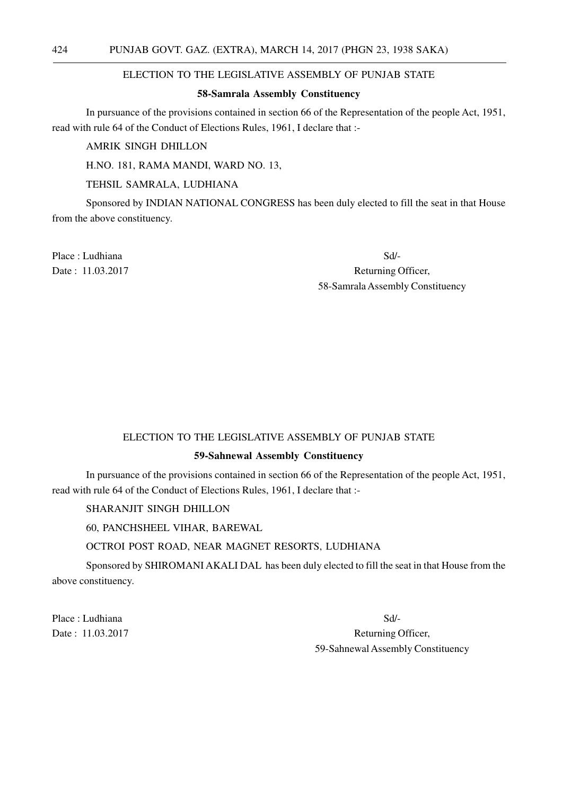#### **58-Samrala Assembly Constituency**

In pursuance of the provisions contained in section 66 of the Representation of the people Act, 1951, read with rule 64 of the Conduct of Elections Rules, 1961, I declare that :-

#### AMRIK SINGH DHILLON

H.NO. 181, RAMA MANDI, WARD NO. 13,

#### TEHSIL SAMRALA, LUDHIANA

Sponsored by INDIAN NATIONAL CONGRESS has been duly elected to fill the seat in that House from the above constituency.

Place : Ludhiana Sd

Date : 11.03.2017 Returning Officer, 58-Samrala Assembly Constituency

#### ELECTION TO THE LEGISLATIVE ASSEMBLY OF PUNJAB STATE

#### **59-Sahnewal Assembly Constituency**

In pursuance of the provisions contained in section 66 of the Representation of the people Act, 1951, read with rule 64 of the Conduct of Elections Rules, 1961, I declare that :-

#### SHARANJIT SINGH DHILLON

60, PANCHSHEEL VIHAR, BAREWAL

#### OCTROI POST ROAD, NEAR MAGNET RESORTS, LUDHIANA

Sponsored by SHIROMANI AKALI DAL has been duly elected to fill the seat in that House from the above constituency.

Place : Ludhiana Sd<sup>1</sup>-

Date : 11.03.2017 Returning Officer, 59-Sahnewal Assembly Constituency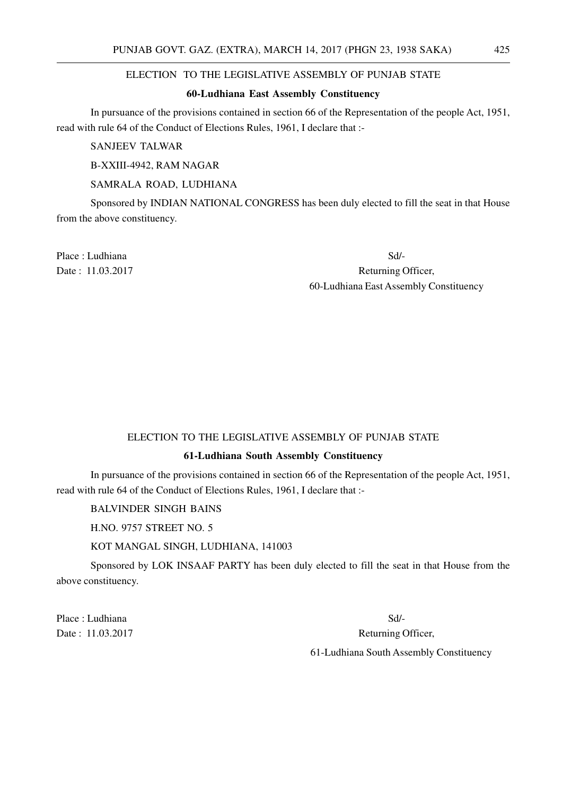#### **60-Ludhiana East Assembly Constituency**

In pursuance of the provisions contained in section 66 of the Representation of the people Act, 1951, read with rule 64 of the Conduct of Elections Rules, 1961, I declare that :-

SANJEEV TALWAR

B-XXIII-4942, RAM NAGAR

#### SAMRALA ROAD, LUDHIANA

Sponsored by INDIAN NATIONAL CONGRESS has been duly elected to fill the seat in that House from the above constituency.

Place : Ludhiana Sd/-

Date : 11.03.2017 Returning Officer, 60-Ludhiana East Assembly Constituency

#### ELECTION TO THE LEGISLATIVE ASSEMBLY OF PUNJAB STATE

#### **61-Ludhiana South Assembly Constituency**

In pursuance of the provisions contained in section 66 of the Representation of the people Act, 1951, read with rule 64 of the Conduct of Elections Rules, 1961, I declare that :-

BALVINDER SINGH BAINS

H.NO. 9757 STREET NO. 5

KOT MANGAL SINGH, LUDHIANA, 141003

Sponsored by LOK INSAAF PARTY has been duly elected to fill the seat in that House from the above constituency.

Place : Ludhiana Sd<sup>1</sup>-

Date : 11.03.2017 Returning Officer, 61-Ludhiana South Assembly Constituency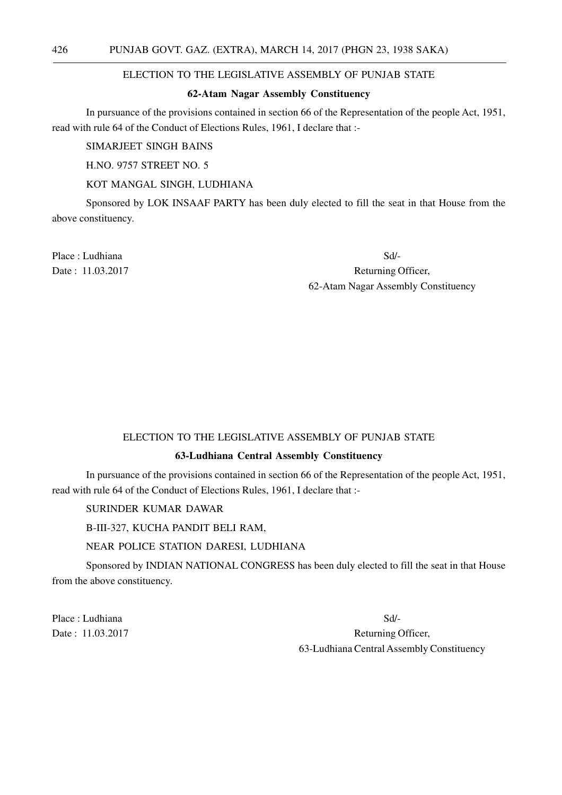#### **62-Atam Nagar Assembly Constituency**

In pursuance of the provisions contained in section 66 of the Representation of the people Act, 1951, read with rule 64 of the Conduct of Elections Rules, 1961, I declare that :-

#### SIMARJEET SINGH BAINS

H.NO. 9757 STREET NO. 5

#### KOT MANGAL SINGH, LUDHIANA

Sponsored by LOK INSAAF PARTY has been duly elected to fill the seat in that House from the above constituency.

Place : Ludhiana Sd

Date : 11.03.2017 Returning Officer, 62-Atam Nagar Assembly Constituency

#### ELECTION TO THE LEGISLATIVE ASSEMBLY OF PUNJAB STATE

#### **63-Ludhiana Central Assembly Constituency**

In pursuance of the provisions contained in section 66 of the Representation of the people Act, 1951, read with rule 64 of the Conduct of Elections Rules, 1961, I declare that :-

#### SURINDER KUMAR DAWAR

#### B-III-327, KUCHA PANDIT BELI RAM,

#### NEAR POLICE STATION DARESI, LUDHIANA

Sponsored by INDIAN NATIONAL CONGRESS has been duly elected to fill the seat in that House from the above constituency.

Place : Ludhiana Sd<sup>1</sup>-Date : 11.03.2017 Returning Officer, 63-Ludhiana Central Assembly Constituency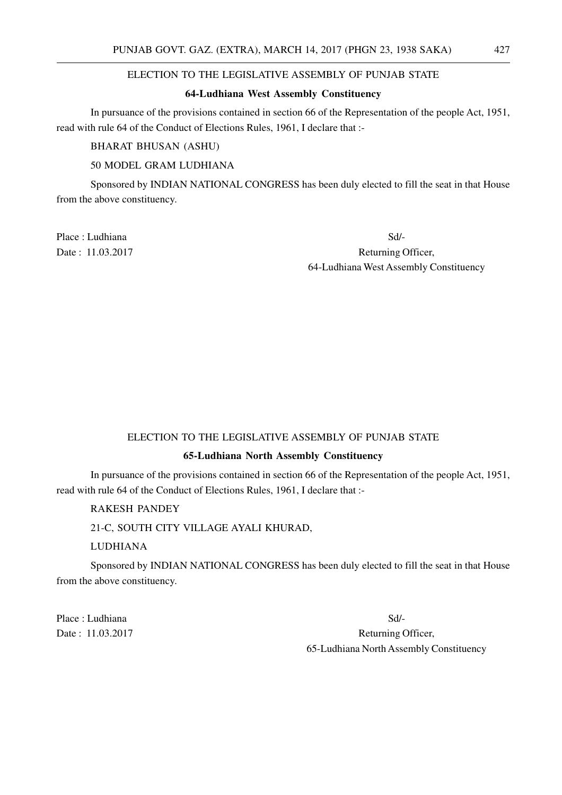#### **64-Ludhiana West Assembly Constituency**

In pursuance of the provisions contained in section 66 of the Representation of the people Act, 1951, read with rule 64 of the Conduct of Elections Rules, 1961, I declare that :-

#### BHARAT BHUSAN (ASHU)

#### 50 MODEL GRAM LUDHIANA

Sponsored by INDIAN NATIONAL CONGRESS has been duly elected to fill the seat in that House from the above constituency.

Place : Ludhiana Sd<sup>1</sup>-

Date : 11.03.2017 Returning Officer, 64-Ludhiana West Assembly Constituency

#### ELECTION TO THE LEGISLATIVE ASSEMBLY OF PUNJAB STATE

#### **65-Ludhiana North Assembly Constituency**

In pursuance of the provisions contained in section 66 of the Representation of the people Act, 1951, read with rule 64 of the Conduct of Elections Rules, 1961, I declare that :-

#### RAKESH PANDEY

21-C, SOUTH CITY VILLAGE AYALI KHURAD,

LUDHIANA

Sponsored by INDIAN NATIONAL CONGRESS has been duly elected to fill the seat in that House from the above constituency.

Place : Ludhiana Sd<sup>1</sup>-Date : 11.03.2017 Returning Officer, 65-Ludhiana North Assembly Constituency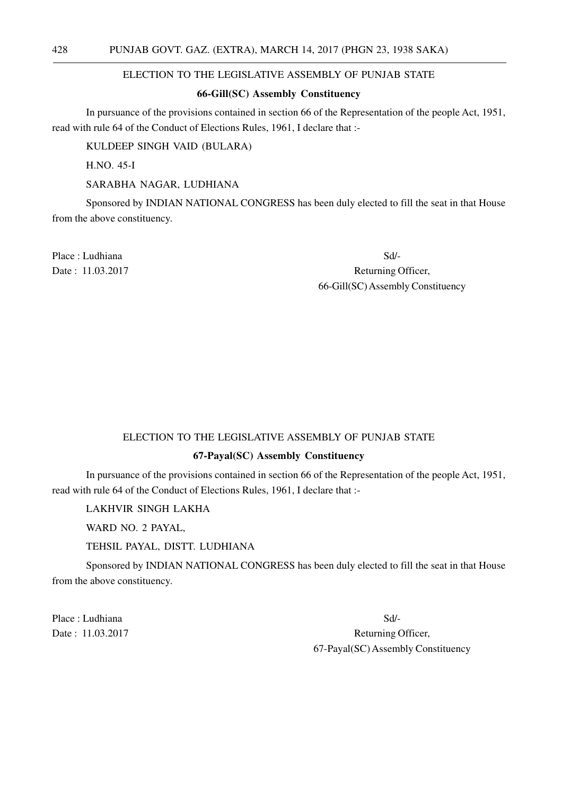#### **66-Gill(SC) Assembly Constituency**

In pursuance of the provisions contained in section 66 of the Representation of the people Act, 1951, read with rule 64 of the Conduct of Elections Rules, 1961, I declare that :-

KULDEEP SINGH VAID (BULARA)

H.NO. 45-I

SARABHA NAGAR, LUDHIANA

Sponsored by INDIAN NATIONAL CONGRESS has been duly elected to fill the seat in that House from the above constituency.

Place : Ludhiana Sd

Date : 11.03.2017 Returning Officer, 66-Gill(SC) Assembly Constituency

#### ELECTION TO THE LEGISLATIVE ASSEMBLY OF PUNJAB STATE

#### **67-Payal(SC) Assembly Constituency**

In pursuance of the provisions contained in section 66 of the Representation of the people Act, 1951, read with rule 64 of the Conduct of Elections Rules, 1961, I declare that :-

LAKHVIR SINGH LAKHA

WARD NO. 2 PAYAL,

TEHSIL PAYAL, DISTT. LUDHIANA

Sponsored by INDIAN NATIONAL CONGRESS has been duly elected to fill the seat in that House from the above constituency.

Place : Ludhiana Sd<sup>1</sup>-Date : 11.03.2017 Returning Officer, 67-Payal(SC) Assembly Constituency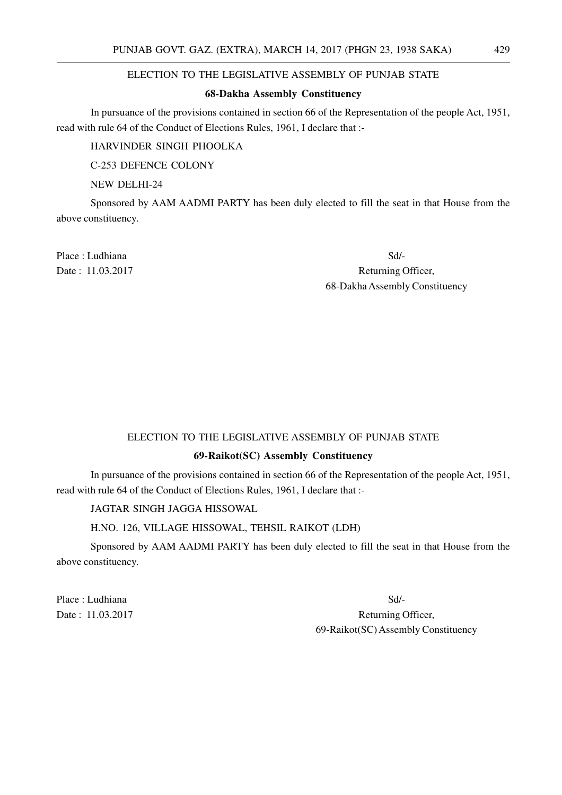#### **68-Dakha Assembly Constituency**

In pursuance of the provisions contained in section 66 of the Representation of the people Act, 1951, read with rule 64 of the Conduct of Elections Rules, 1961, I declare that :-

#### HARVINDER SINGH PHOOLKA

C-253 DEFENCE COLONY

NEW DELHI-24

Sponsored by AAM AADMI PARTY has been duly elected to fill the seat in that House from the above constituency.

Place : Ludhiana Sd/-

# Date : 11.03.2017 Returning Officer, 68-Dakha Assembly Constituency

#### ELECTION TO THE LEGISLATIVE ASSEMBLY OF PUNJAB STATE

#### **69-Raikot(SC) Assembly Constituency**

In pursuance of the provisions contained in section 66 of the Representation of the people Act, 1951, read with rule 64 of the Conduct of Elections Rules, 1961, I declare that :-

#### JAGTAR SINGH JAGGA HISSOWAL

#### H.NO. 126, VILLAGE HISSOWAL, TEHSIL RAIKOT (LDH)

Sponsored by AAM AADMI PARTY has been duly elected to fill the seat in that House from the above constituency.

Place : Ludhiana Sd<sup>1</sup>-

Date : 11.03.2017 Returning Officer, 69-Raikot(SC) Assembly Constituency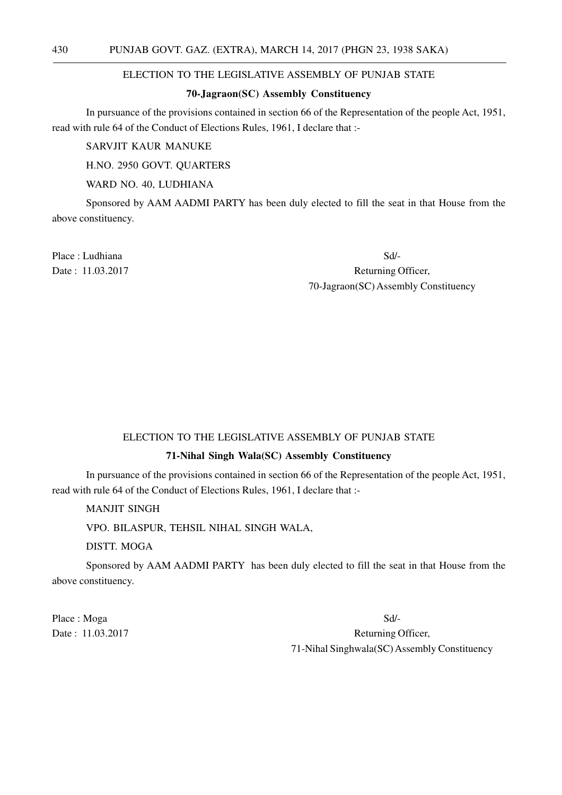#### **70-Jagraon(SC) Assembly Constituency**

In pursuance of the provisions contained in section 66 of the Representation of the people Act, 1951, read with rule 64 of the Conduct of Elections Rules, 1961, I declare that :-

#### SARVJIT KAUR MANUKE

H.NO. 2950 GOVT. QUARTERS

#### WARD NO. 40, LUDHIANA

Sponsored by AAM AADMI PARTY has been duly elected to fill the seat in that House from the above constituency.

Place : Ludhiana Sd

Date : 11.03.2017 Returning Officer, 70-Jagraon(SC) Assembly Constituency

#### ELECTION TO THE LEGISLATIVE ASSEMBLY OF PUNJAB STATE

#### **71-Nihal Singh Wala(SC) Assembly Constituency**

In pursuance of the provisions contained in section 66 of the Representation of the people Act, 1951, read with rule 64 of the Conduct of Elections Rules, 1961, I declare that :-

#### MANJIT SINGH

VPO. BILASPUR, TEHSIL NIHAL SINGH WALA,

DISTT. MOGA

Sponsored by AAM AADMI PARTY has been duly elected to fill the seat in that House from the above constituency.

Place : Moga Sd/-Date : 11.03.2017 Returning Officer, 71-Nihal Singhwala(SC) Assembly Constituency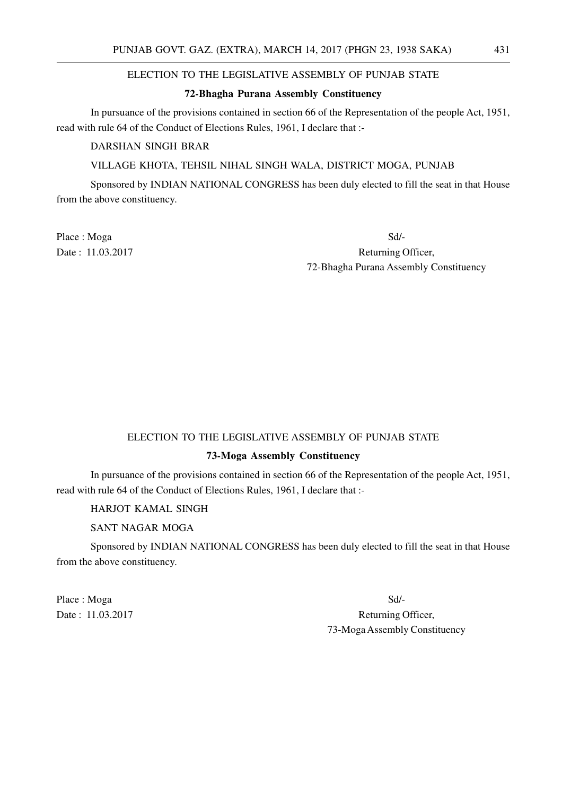#### **72-Bhagha Purana Assembly Constituency**

In pursuance of the provisions contained in section 66 of the Representation of the people Act, 1951, read with rule 64 of the Conduct of Elections Rules, 1961, I declare that :-

#### DARSHAN SINGH BRAR

#### VILLAGE KHOTA, TEHSIL NIHAL SINGH WALA, DISTRICT MOGA, PUNJAB

Sponsored by INDIAN NATIONAL CONGRESS has been duly elected to fill the seat in that House from the above constituency.

Place : Moga Sd/-

Date : 11.03.2017 Returning Officer, 72-Bhagha Purana Assembly Constituency

#### ELECTION TO THE LEGISLATIVE ASSEMBLY OF PUNJAB STATE

#### **73-Moga Assembly Constituency**

In pursuance of the provisions contained in section 66 of the Representation of the people Act, 1951, read with rule 64 of the Conduct of Elections Rules, 1961, I declare that :-

#### HARJOT KAMAL SINGH

SANT NAGAR MOGA

Sponsored by INDIAN NATIONAL CONGRESS has been duly elected to fill the seat in that House from the above constituency.

Place : Moga Sd/-

Date : 11.03.2017 Returning Officer, 73-Moga Assembly Constituency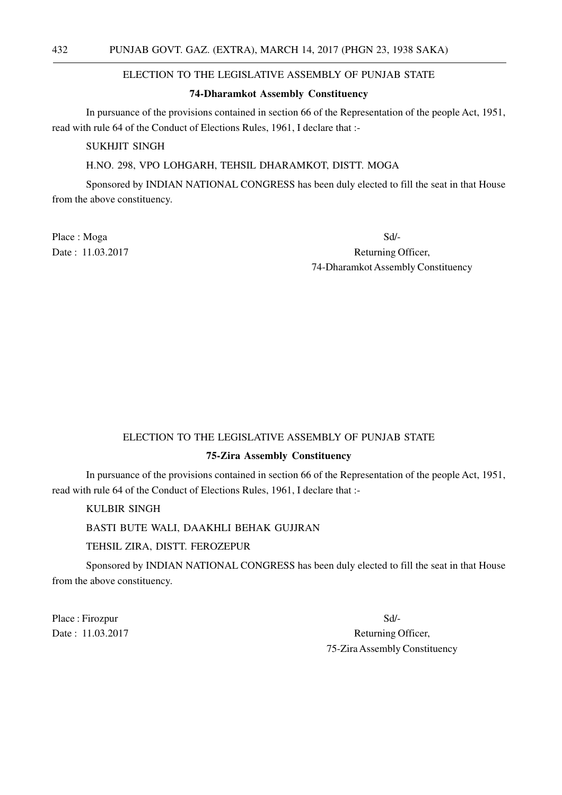#### **74-Dharamkot Assembly Constituency**

In pursuance of the provisions contained in section 66 of the Representation of the people Act, 1951, read with rule 64 of the Conduct of Elections Rules, 1961, I declare that :-

#### SUKHJIT SINGH

#### H.NO. 298, VPO LOHGARH, TEHSIL DHARAMKOT, DISTT. MOGA

Sponsored by INDIAN NATIONAL CONGRESS has been duly elected to fill the seat in that House from the above constituency.

Place : Moga Sd/-Date : 11.03.2017 Returning Officer, 74-Dharamkot Assembly Constituency

#### ELECTION TO THE LEGISLATIVE ASSEMBLY OF PUNJAB STATE

#### **75-Zira Assembly Constituency**

In pursuance of the provisions contained in section 66 of the Representation of the people Act, 1951, read with rule 64 of the Conduct of Elections Rules, 1961, I declare that :-

KULBIR SINGH

BASTI BUTE WALI, DAAKHLI BEHAK GUJJRAN

TEHSIL ZIRA, DISTT. FEROZEPUR

Sponsored by INDIAN NATIONAL CONGRESS has been duly elected to fill the seat in that House from the above constituency.

Place : Firozpur Sd/-Date : 11.03.2017 Returning Officer, 75-Zira Assembly Constituency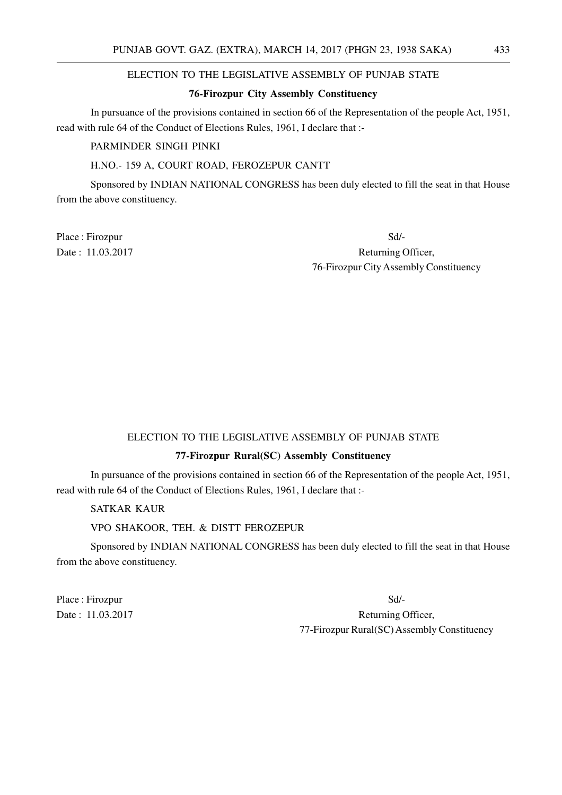#### **76-Firozpur City Assembly Constituency**

In pursuance of the provisions contained in section 66 of the Representation of the people Act, 1951, read with rule 64 of the Conduct of Elections Rules, 1961, I declare that :-

#### PARMINDER SINGH PINKI

#### H.NO.- 159 A, COURT ROAD, FEROZEPUR CANTT

Sponsored by INDIAN NATIONAL CONGRESS has been duly elected to fill the seat in that House from the above constituency.

Place : Firozpur Sd/-

Date : 11.03.2017 Returning Officer, 76-Firozpur City Assembly Constituency

#### ELECTION TO THE LEGISLATIVE ASSEMBLY OF PUNJAB STATE

#### **77-Firozpur Rural(SC) Assembly Constituency**

In pursuance of the provisions contained in section 66 of the Representation of the people Act, 1951, read with rule 64 of the Conduct of Elections Rules, 1961, I declare that :-

#### SATKAR KAUR

#### VPO SHAKOOR, TEH. & DISTT FEROZEPUR

Sponsored by INDIAN NATIONAL CONGRESS has been duly elected to fill the seat in that House from the above constituency.

Place : Firozpur Sd/-

Date : 11.03.2017 Returning Officer, 77-Firozpur Rural(SC) Assembly Constituency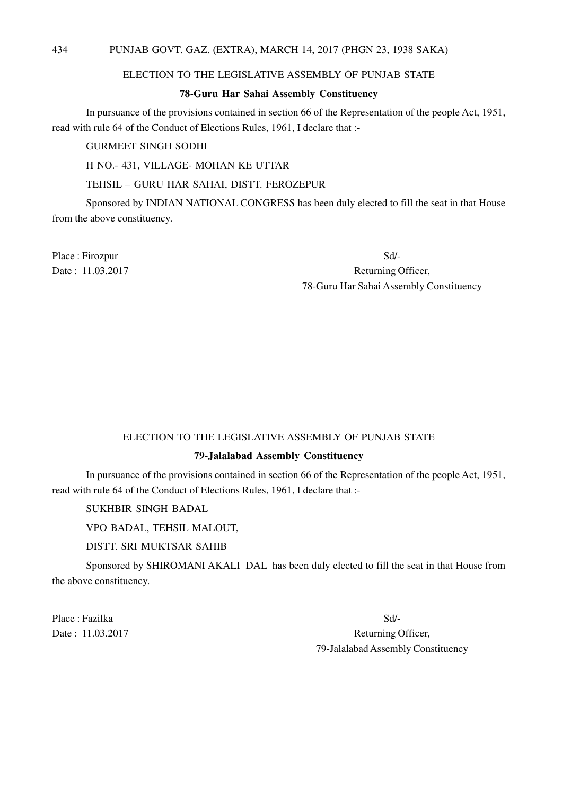#### **78-Guru Har Sahai Assembly Constituency**

In pursuance of the provisions contained in section 66 of the Representation of the people Act, 1951, read with rule 64 of the Conduct of Elections Rules, 1961, I declare that :-

GURMEET SINGH SODHI

H NO.- 431, VILLAGE- MOHAN KE UTTAR

TEHSIL – GURU HAR SAHAI, DISTT. FEROZEPUR

Sponsored by INDIAN NATIONAL CONGRESS has been duly elected to fill the seat in that House from the above constituency.

Place : Firozpur Sd/-

Date : 11.03.2017 Returning Officer, 78-Guru Har Sahai Assembly Constituency

#### ELECTION TO THE LEGISLATIVE ASSEMBLY OF PUNJAB STATE

#### **79-Jalalabad Assembly Constituency**

In pursuance of the provisions contained in section 66 of the Representation of the people Act, 1951, read with rule 64 of the Conduct of Elections Rules, 1961, I declare that :-

#### SUKHBIR SINGH BADAL

VPO BADAL, TEHSIL MALOUT,

DISTT. SRI MUKTSAR SAHIB

Sponsored by SHIROMANI AKALI DAL has been duly elected to fill the seat in that House from the above constituency.

Place : Fazilka Sd<sup>1</sup>-Date : 11.03.2017 Returning Officer, 79-Jalalabad Assembly Constituency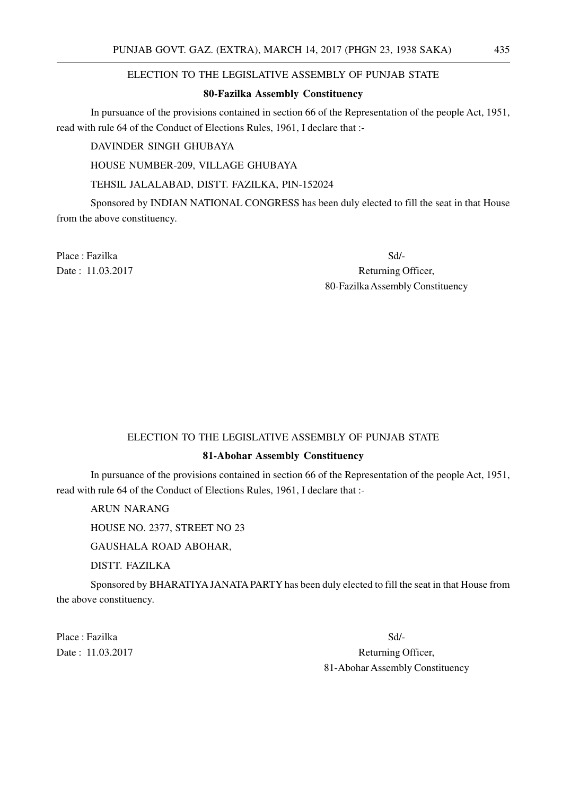#### **80-Fazilka Assembly Constituency**

In pursuance of the provisions contained in section 66 of the Representation of the people Act, 1951, read with rule 64 of the Conduct of Elections Rules, 1961, I declare that :-

#### DAVINDER SINGH GHUBAYA

HOUSE NUMBER-209, VILLAGE GHUBAYA

#### TEHSIL JALALABAD, DISTT. FAZILKA, PIN-152024

Sponsored by INDIAN NATIONAL CONGRESS has been duly elected to fill the seat in that House from the above constituency.

Place : Fazilka Sd<sup>1</sup>

Date : 11.03.2017 Returning Officer, 80-Fazilka Assembly Constituency

#### ELECTION TO THE LEGISLATIVE ASSEMBLY OF PUNJAB STATE

#### **81-Abohar Assembly Constituency**

In pursuance of the provisions contained in section 66 of the Representation of the people Act, 1951, read with rule 64 of the Conduct of Elections Rules, 1961, I declare that :-

ARUN NARANG

HOUSE NO. 2377, STREET NO 23

GAUSHALA ROAD ABOHAR,

DISTT. FAZILKA

Sponsored by BHARATIYA JANATA PARTY has been duly elected to fill the seat in that House from the above constituency.

Place : Fazilka Sd<sup>1</sup>-

Date : 11.03.2017 Returning Officer, 81-Abohar Assembly Constituency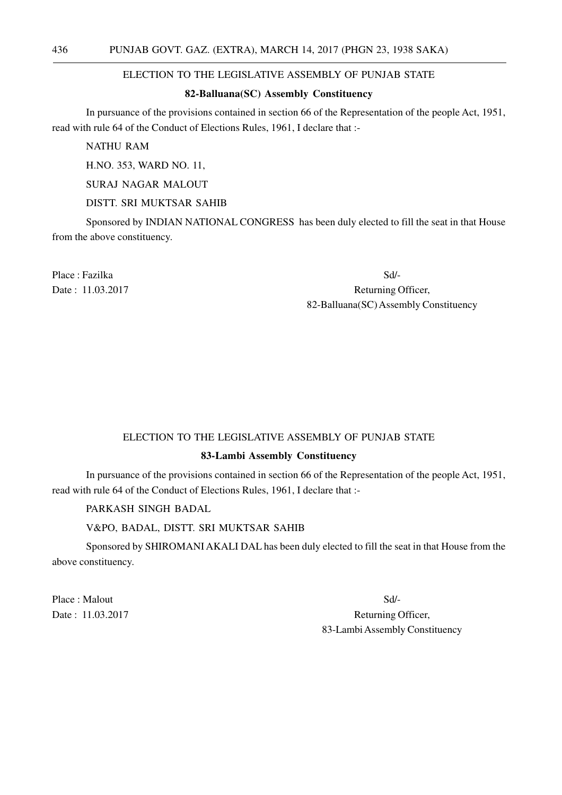#### **82-Balluana(SC) Assembly Constituency**

In pursuance of the provisions contained in section 66 of the Representation of the people Act, 1951, read with rule 64 of the Conduct of Elections Rules, 1961, I declare that :-

NATHU RAM

H.NO. 353, WARD NO. 11,

SURAJ NAGAR MALOUT

#### DISTT. SRI MUKTSAR SAHIB

Sponsored by INDIAN NATIONAL CONGRESS has been duly elected to fill the seat in that House from the above constituency.

Place : Fazilka Sd<sup>1</sup>-Date : 11.03.2017 Returning Officer, 82-Balluana(SC) Assembly Constituency

#### ELECTION TO THE LEGISLATIVE ASSEMBLY OF PUNJAB STATE

#### **83-Lambi Assembly Constituency**

In pursuance of the provisions contained in section 66 of the Representation of the people Act, 1951, read with rule 64 of the Conduct of Elections Rules, 1961, I declare that :-

#### PARKASH SINGH BADAL

#### V&PO, BADAL, DISTT. SRI MUKTSAR SAHIB

Sponsored by SHIROMANI AKALI DAL has been duly elected to fill the seat in that House from the above constituency.

Place : Malout Sd<sup>1</sup>-

Date : 11.03.2017 Returning Officer, 83-Lambi Assembly Constituency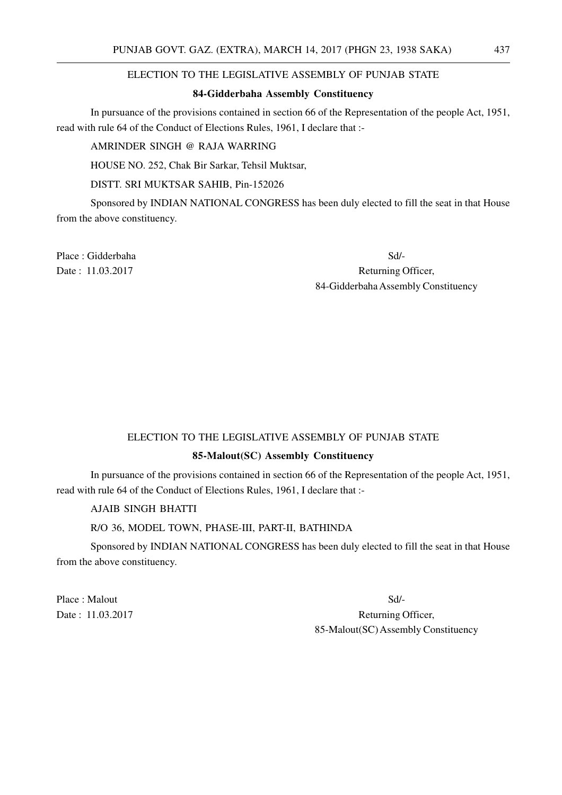#### **84-Gidderbaha Assembly Constituency**

In pursuance of the provisions contained in section 66 of the Representation of the people Act, 1951, read with rule 64 of the Conduct of Elections Rules, 1961, I declare that :-

AMRINDER SINGH @ RAJA WARRING

HOUSE NO. 252, Chak Bir Sarkar, Tehsil Muktsar,

DISTT. SRI MUKTSAR SAHIB, Pin-152026

Sponsored by INDIAN NATIONAL CONGRESS has been duly elected to fill the seat in that House from the above constituency.

Place : Gidderbaha Sd/-

Date : 11.03.2017 Returning Officer, 84-Gidderbaha Assembly Constituency

#### ELECTION TO THE LEGISLATIVE ASSEMBLY OF PUNJAB STATE

#### **85-Malout(SC) Assembly Constituency**

In pursuance of the provisions contained in section 66 of the Representation of the people Act, 1951, read with rule 64 of the Conduct of Elections Rules, 1961, I declare that :-

#### AJAIB SINGH BHATTI

#### R/O 36, MODEL TOWN, PHASE-III, PART-II, BATHINDA

Sponsored by INDIAN NATIONAL CONGRESS has been duly elected to fill the seat in that House from the above constituency.

Place : Malout Sd<sup>1</sup>-Date : 11.03.2017 Returning Officer,

85-Malout(SC) Assembly Constituency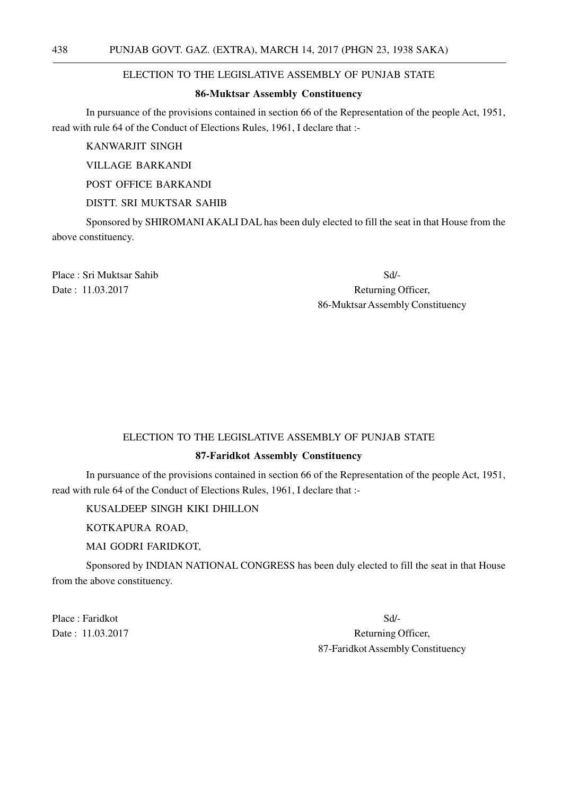#### **86-Muktsar Assembly Constituency**

In pursuance of the provisions contained in section 66 of the Representation of the people Act, 1951, read with rule 64 of the Conduct of Elections Rules, 1961, I declare that :-

KANWARJIT SINGH

VILLAGE BARKANDI

POST OFFICE BARKANDI

#### DISTT. SRI MUKTSAR SAHIB

Sponsored by SHIROMANI AKALI DAL has been duly elected to fill the seat in that House from the above constituency.

Place : Sri Muktsar Sahib Sd<sup>1</sup>-

Date : 11.03.2017 Returning Officer, 86-Muktsar Assembly Constituency

#### ELECTION TO THE LEGISLATIVE ASSEMBLY OF PUNJAB STATE

#### **87-Faridkot Assembly Constituency**

In pursuance of the provisions contained in section 66 of the Representation of the people Act, 1951, read with rule 64 of the Conduct of Elections Rules, 1961, I declare that :-

#### KUSALDEEP SINGH KIKI DHILLON

KOTKAPURA ROAD,

MAI GODRI FARIDKOT,

Sponsored by INDIAN NATIONAL CONGRESS has been duly elected to fill the seat in that House from the above constituency.

Place : Faridkot Sd<sup>1</sup>-

Date : 11.03.2017 Returning Officer, 87-Faridkot Assembly Constituency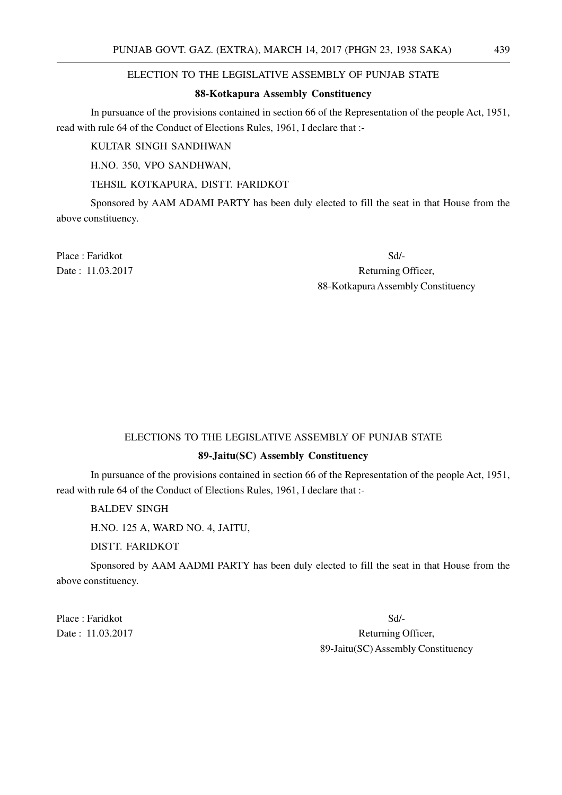#### **88-Kotkapura Assembly Constituency**

In pursuance of the provisions contained in section 66 of the Representation of the people Act, 1951, read with rule 64 of the Conduct of Elections Rules, 1961, I declare that :-

#### KULTAR SINGH SANDHWAN

H.NO. 350, VPO SANDHWAN,

#### TEHSIL KOTKAPURA, DISTT. FARIDKOT

Sponsored by AAM ADAMI PARTY has been duly elected to fill the seat in that House from the above constituency.

Place : Faridkot Sd/-

Date : 11.03.2017 Returning Officer, 88-Kotkapura Assembly Constituency

#### ELECTIONS TO THE LEGISLATIVE ASSEMBLY OF PUNJAB STATE

#### **89-Jaitu(SC) Assembly Constituency**

In pursuance of the provisions contained in section 66 of the Representation of the people Act, 1951, read with rule 64 of the Conduct of Elections Rules, 1961, I declare that :-

BALDEV SINGH

H.NO. 125 A, WARD NO. 4, JAITU,

DISTT. FARIDKOT

Sponsored by AAM AADMI PARTY has been duly elected to fill the seat in that House from the above constituency.

Place : Faridkot Sd/-Date : 11.03.2017 Returning Officer, 89-Jaitu(SC) Assembly Constituency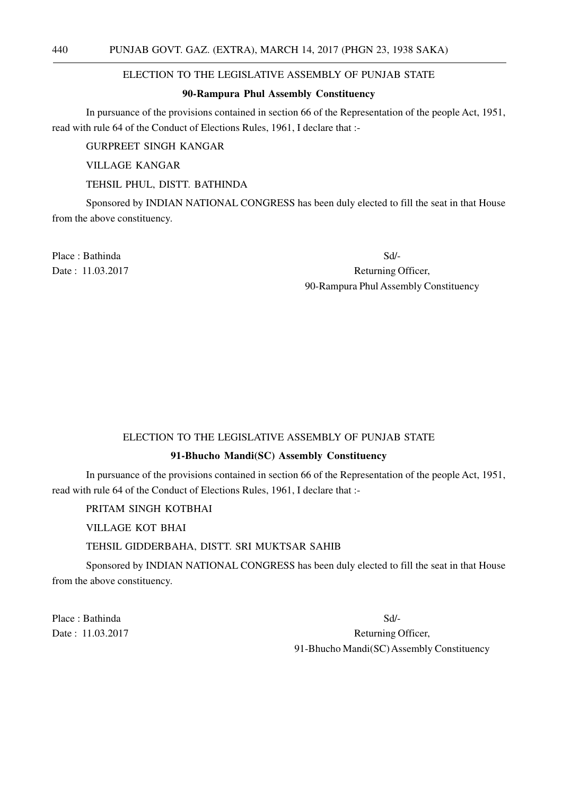#### **90-Rampura Phul Assembly Constituency**

In pursuance of the provisions contained in section 66 of the Representation of the people Act, 1951, read with rule 64 of the Conduct of Elections Rules, 1961, I declare that :-

GURPREET SINGH KANGAR

VILLAGE KANGAR

TEHSIL PHUL, DISTT. BATHINDA

Sponsored by INDIAN NATIONAL CONGRESS has been duly elected to fill the seat in that House from the above constituency.

Place : Bathinda Sd/-

Date : 11.03.2017 Returning Officer, 90-Rampura Phul Assembly Constituency

#### ELECTION TO THE LEGISLATIVE ASSEMBLY OF PUNJAB STATE

#### **91-Bhucho Mandi(SC) Assembly Constituency**

In pursuance of the provisions contained in section 66 of the Representation of the people Act, 1951, read with rule 64 of the Conduct of Elections Rules, 1961, I declare that :-

#### PRITAM SINGH KOTBHAI

VILLAGE KOT BHAI

#### TEHSIL GIDDERBAHA, DISTT. SRI MUKTSAR SAHIB

Sponsored by INDIAN NATIONAL CONGRESS has been duly elected to fill the seat in that House from the above constituency.

Place : Bathinda Sd<sup>1</sup>-Date : 11.03.2017 Returning Officer, 91-Bhucho Mandi(SC) Assembly Constituency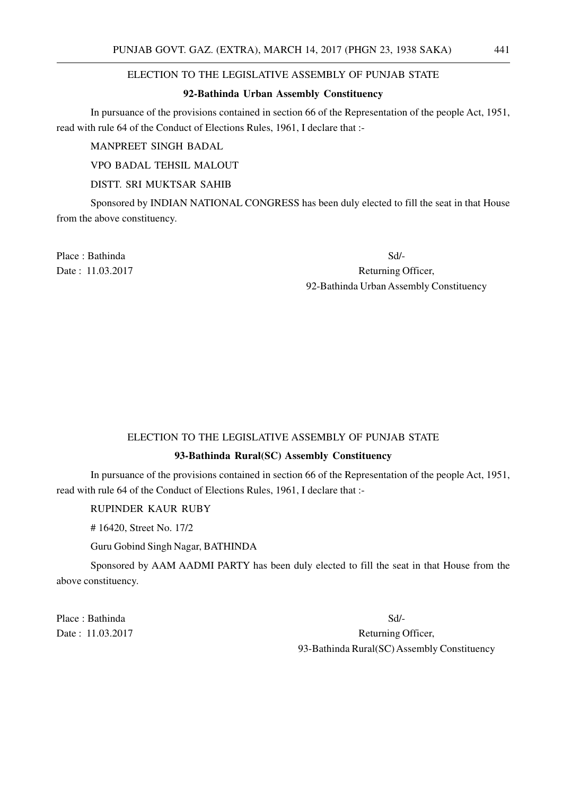#### **92-Bathinda Urban Assembly Constituency**

In pursuance of the provisions contained in section 66 of the Representation of the people Act, 1951, read with rule 64 of the Conduct of Elections Rules, 1961, I declare that :-

MANPREET SINGH BADAL

VPO BADAL TEHSIL MALOUT

DISTT. SRI MUKTSAR SAHIB

Sponsored by INDIAN NATIONAL CONGRESS has been duly elected to fill the seat in that House from the above constituency.

Place : Bathinda Sd/-

Date : 11.03.2017 Returning Officer, 92-Bathinda Urban Assembly Constituency

#### ELECTION TO THE LEGISLATIVE ASSEMBLY OF PUNJAB STATE

#### **93-Bathinda Rural(SC) Assembly Constituency**

In pursuance of the provisions contained in section 66 of the Representation of the people Act, 1951, read with rule 64 of the Conduct of Elections Rules, 1961, I declare that :-

RUPINDER KAUR RUBY

# 16420, Street No. 17/2

Guru Gobind Singh Nagar, BATHINDA

Sponsored by AAM AADMI PARTY has been duly elected to fill the seat in that House from the above constituency.

Place : Bathinda Sd<sup>1</sup>-Date : 11.03.2017 Returning Officer, 93-Bathinda Rural(SC) Assembly Constituency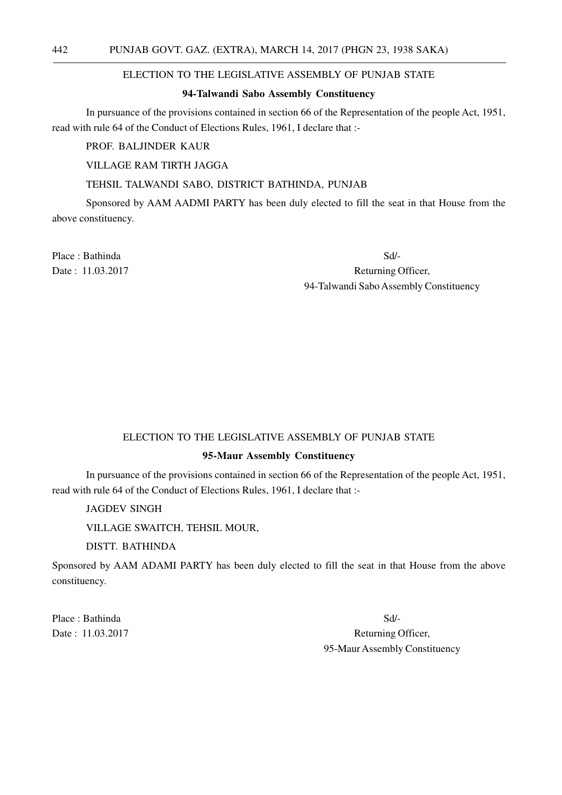#### **94-Talwandi Sabo Assembly Constituency**

In pursuance of the provisions contained in section 66 of the Representation of the people Act, 1951, read with rule 64 of the Conduct of Elections Rules, 1961, I declare that :-

#### PROF. BALJINDER KAUR

VILLAGE RAM TIRTH JAGGA

#### TEHSIL TALWANDI SABO, DISTRICT BATHINDA, PUNJAB

Sponsored by AAM AADMI PARTY has been duly elected to fill the seat in that House from the above constituency.

Place : Bathinda Sd/-

Date : 11.03.2017 Returning Officer, 94-Talwandi Sabo Assembly Constituency

#### ELECTION TO THE LEGISLATIVE ASSEMBLY OF PUNJAB STATE

#### **95-Maur Assembly Constituency**

In pursuance of the provisions contained in section 66 of the Representation of the people Act, 1951, read with rule 64 of the Conduct of Elections Rules, 1961, I declare that :-

JAGDEV SINGH

VILLAGE SWAITCH, TEHSIL MOUR,

DISTT. BATHINDA

Sponsored by AAM ADAMI PARTY has been duly elected to fill the seat in that House from the above constituency.

Place : Bathinda Sd<sup>1</sup>-Date : 11.03.2017 Returning Officer, 95-Maur Assembly Constituency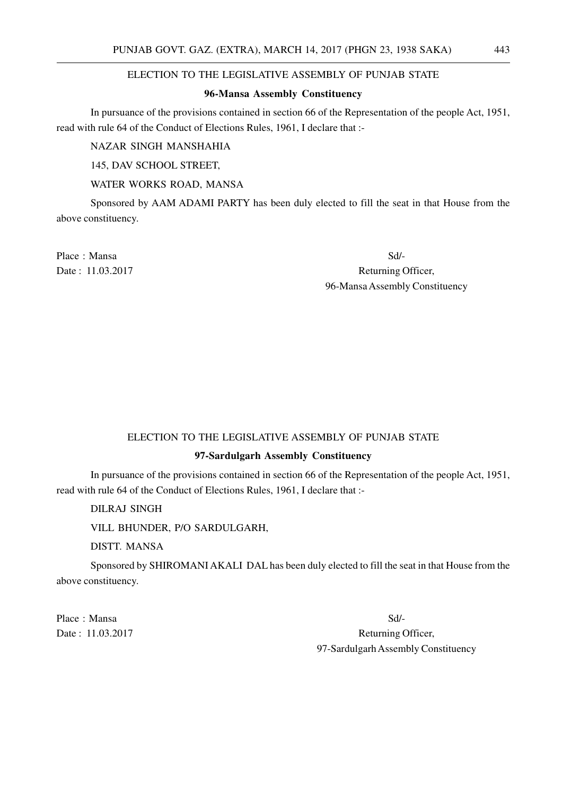#### **96-Mansa Assembly Constituency**

In pursuance of the provisions contained in section 66 of the Representation of the people Act, 1951, read with rule 64 of the Conduct of Elections Rules, 1961, I declare that :-

#### NAZAR SINGH MANSHAHIA

145, DAV SCHOOL STREET,

#### WATER WORKS ROAD, MANSA

Sponsored by AAM ADAMI PARTY has been duly elected to fill the seat in that House from the above constituency.

Place : Mansa Sd/-

## Date : 11.03.2017 Returning Officer, 96-Mansa Assembly Constituency

#### ELECTION TO THE LEGISLATIVE ASSEMBLY OF PUNJAB STATE

#### **97-Sardulgarh Assembly Constituency**

In pursuance of the provisions contained in section 66 of the Representation of the people Act, 1951, read with rule 64 of the Conduct of Elections Rules, 1961, I declare that :-

#### DILRAJ SINGH

VILL BHUNDER, P/O SARDULGARH,

DISTT. MANSA

Sponsored by SHIROMANI AKALI DAL has been duly elected to fill the seat in that House from the above constituency.

Place : Mansa Sd/-Date : 11.03.2017 Returning Officer, 97-Sardulgarh Assembly Constituency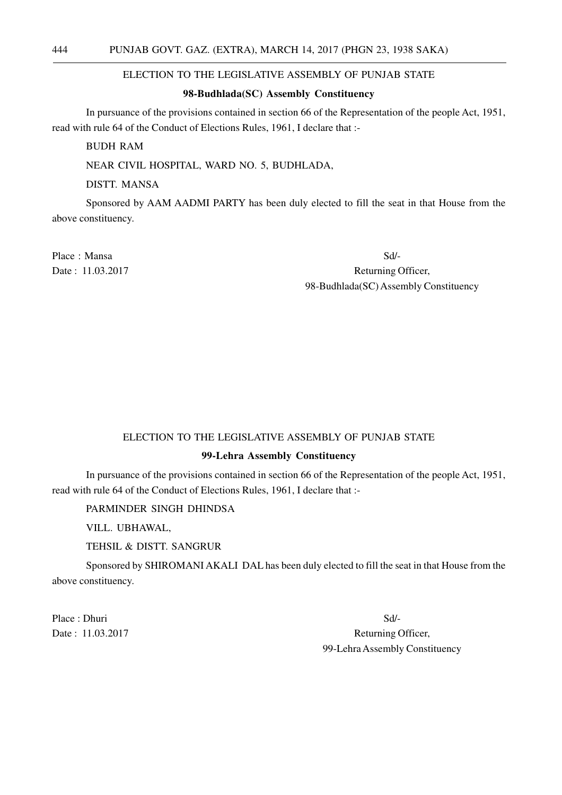#### **98-Budhlada(SC) Assembly Constituency**

In pursuance of the provisions contained in section 66 of the Representation of the people Act, 1951, read with rule 64 of the Conduct of Elections Rules, 1961, I declare that :-

BUDH RAM

NEAR CIVIL HOSPITAL, WARD NO. 5, BUDHLADA,

DISTT. MANSA

Sponsored by AAM AADMI PARTY has been duly elected to fill the seat in that House from the above constituency.

Place : Mansa Sd/-

Date : 11.03.2017 Returning Officer, 98-Budhlada(SC) Assembly Constituency

#### ELECTION TO THE LEGISLATIVE ASSEMBLY OF PUNJAB STATE

#### **99-Lehra Assembly Constituency**

In pursuance of the provisions contained in section 66 of the Representation of the people Act, 1951, read with rule 64 of the Conduct of Elections Rules, 1961, I declare that :-

#### PARMINDER SINGH DHINDSA

VILL. UBHAWAL,

TEHSIL & DISTT. SANGRUR

Sponsored by SHIROMANI AKALI DAL has been duly elected to fill the seat in that House from the above constituency.

Place : Dhuri Sd<sup>1</sup>-Date : 11.03.2017 Returning Officer, 99-Lehra Assembly Constituency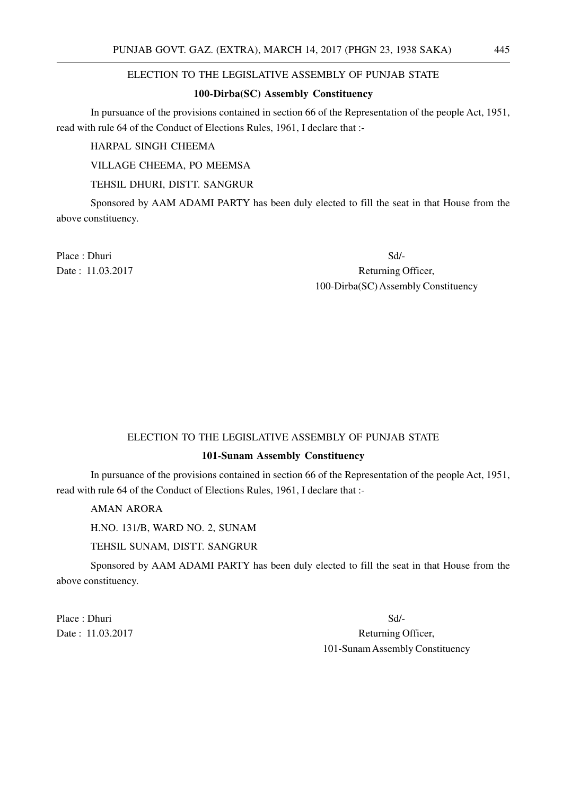#### **100-Dirba(SC) Assembly Constituency**

In pursuance of the provisions contained in section 66 of the Representation of the people Act, 1951, read with rule 64 of the Conduct of Elections Rules, 1961, I declare that :-

#### HARPAL SINGH CHEEMA

VILLAGE CHEEMA, PO MEEMSA

TEHSIL DHURI, DISTT. SANGRUR

Sponsored by AAM ADAMI PARTY has been duly elected to fill the seat in that House from the above constituency.

Place : Dhuri Sd/-

Date : 11.03.2017 Returning Officer, 100-Dirba(SC) Assembly Constituency

#### ELECTION TO THE LEGISLATIVE ASSEMBLY OF PUNJAB STATE

#### **101-Sunam Assembly Constituency**

In pursuance of the provisions contained in section 66 of the Representation of the people Act, 1951, read with rule 64 of the Conduct of Elections Rules, 1961, I declare that :-

#### AMAN ARORA

H.NO. 131/B, WARD NO. 2, SUNAM

TEHSIL SUNAM, DISTT. SANGRUR

Sponsored by AAM ADAMI PARTY has been duly elected to fill the seat in that House from the above constituency.

Place : Dhuri Sd/-Date : 11.03.2017 Returning Officer, 101-Sunam Assembly Constituency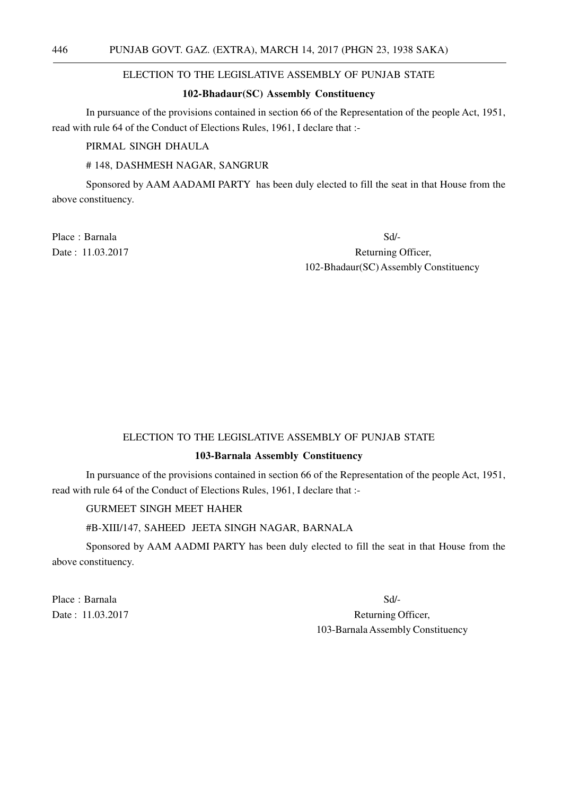#### **102-Bhadaur(SC) Assembly Constituency**

In pursuance of the provisions contained in section 66 of the Representation of the people Act, 1951, read with rule 64 of the Conduct of Elections Rules, 1961, I declare that :-

#### PIRMAL SINGH DHAULA

#### # 148, DASHMESH NAGAR, SANGRUR

Sponsored by AAM AADAMI PARTY has been duly elected to fill the seat in that House from the above constituency.

Place : Barnala Sd<sup>1</sup>-Date : 11.03.2017 Returning Officer, 102-Bhadaur(SC) Assembly Constituency

#### ELECTION TO THE LEGISLATIVE ASSEMBLY OF PUNJAB STATE

#### **103-Barnala Assembly Constituency**

In pursuance of the provisions contained in section 66 of the Representation of the people Act, 1951, read with rule 64 of the Conduct of Elections Rules, 1961, I declare that :-

#### GURMEET SINGH MEET HAHER

#### #B-XIII/147, SAHEED JEETA SINGH NAGAR, BARNALA

Sponsored by AAM AADMI PARTY has been duly elected to fill the seat in that House from the above constituency.

Place : Barnala Sd<sup>1</sup>-

Date : 11.03.2017 Returning Officer, 103-Barnala Assembly Constituency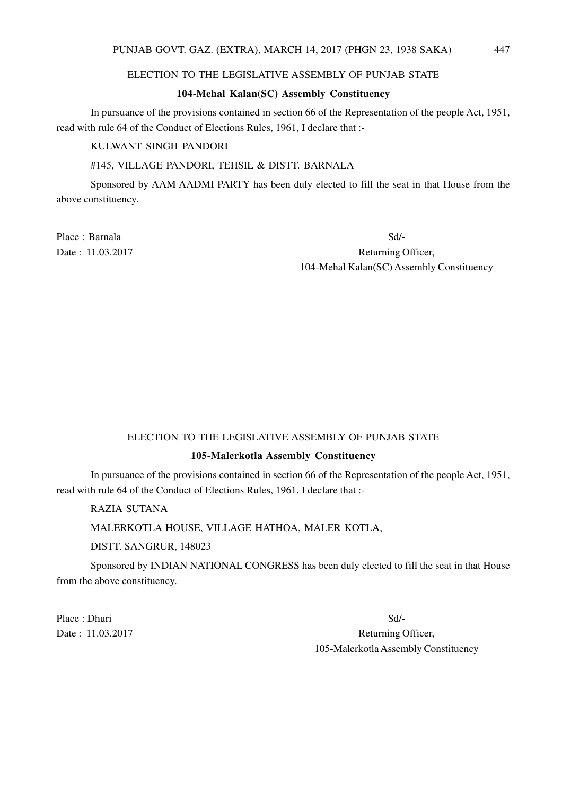#### **104-Mehal Kalan(SC) Assembly Constituency**

In pursuance of the provisions contained in section 66 of the Representation of the people Act, 1951, read with rule 64 of the Conduct of Elections Rules, 1961, I declare that :-

#### KULWANT SINGH PANDORI

#### #145, VILLAGE PANDORI, TEHSIL & DISTT. BARNALA

Sponsored by AAM AADMI PARTY has been duly elected to fill the seat in that House from the above constituency.

Place : Barnala Sd<sup>1</sup>-Date : 11.03.2017 Returning Officer, 104-Mehal Kalan(SC) Assembly Constituency

#### ELECTION TO THE LEGISLATIVE ASSEMBLY OF PUNJAB STATE

#### **105-Malerkotla Assembly Constituency**

In pursuance of the provisions contained in section 66 of the Representation of the people Act, 1951, read with rule 64 of the Conduct of Elections Rules, 1961, I declare that :-

#### RAZIA SUTANA

MALERKOTLA HOUSE, VILLAGE HATHOA, MALER KOTLA,

DISTT. SANGRUR, 148023

Sponsored by INDIAN NATIONAL CONGRESS has been duly elected to fill the seat in that House from the above constituency.

Place : Dhuri Sd/-Date : 11.03.2017 Returning Officer, 105-Malerkotla Assembly Constituency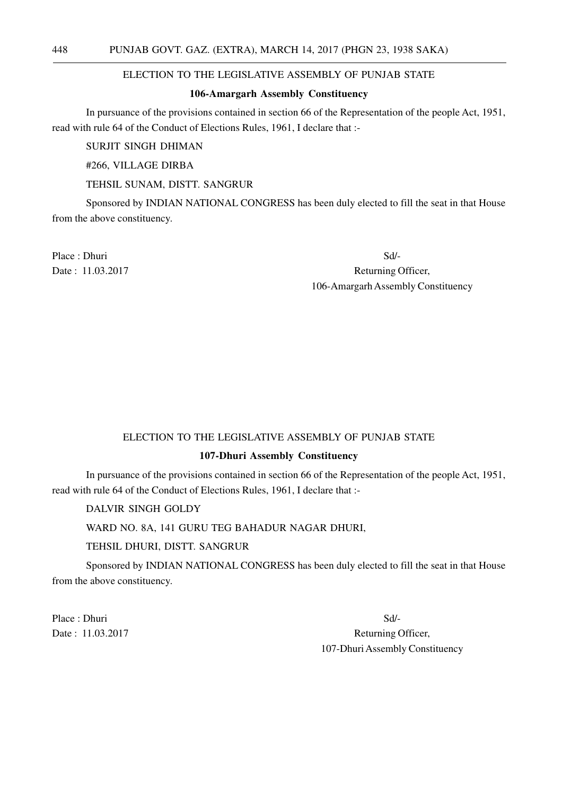#### **106-Amargarh Assembly Constituency**

In pursuance of the provisions contained in section 66 of the Representation of the people Act, 1951, read with rule 64 of the Conduct of Elections Rules, 1961, I declare that :-

#### SURJIT SINGH DHIMAN

#266, VILLAGE DIRBA

TEHSIL SUNAM, DISTT. SANGRUR

Sponsored by INDIAN NATIONAL CONGRESS has been duly elected to fill the seat in that House from the above constituency.

Place : Dhuri Sd/-

Date : 11.03.2017 Returning Officer, 106-Amargarh Assembly Constituency

#### ELECTION TO THE LEGISLATIVE ASSEMBLY OF PUNJAB STATE

#### **107-Dhuri Assembly Constituency**

In pursuance of the provisions contained in section 66 of the Representation of the people Act, 1951, read with rule 64 of the Conduct of Elections Rules, 1961, I declare that :-

#### DALVIR SINGH GOLDY

WARD NO. 8A, 141 GURU TEG BAHADUR NAGAR DHURI,

TEHSIL DHURI, DISTT. SANGRUR

Sponsored by INDIAN NATIONAL CONGRESS has been duly elected to fill the seat in that House from the above constituency.

Place : Dhuri Sd<sup>1</sup>-Date : 11.03.2017 Returning Officer, 107-Dhuri Assembly Constituency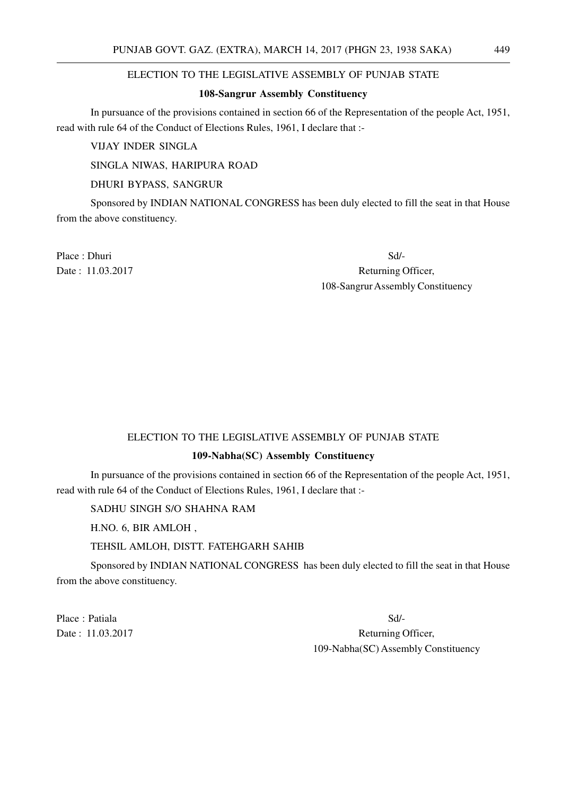#### **108-Sangrur Assembly Constituency**

In pursuance of the provisions contained in section 66 of the Representation of the people Act, 1951, read with rule 64 of the Conduct of Elections Rules, 1961, I declare that :-

VIJAY INDER SINGLA

SINGLA NIWAS, HARIPURA ROAD

DHURI BYPASS, SANGRUR

Sponsored by INDIAN NATIONAL CONGRESS has been duly elected to fill the seat in that House from the above constituency.

Place : Dhuri Sd/-

Date : 11.03.2017 Returning Officer, 108-Sangrur Assembly Constituency

#### ELECTION TO THE LEGISLATIVE ASSEMBLY OF PUNJAB STATE

#### **109-Nabha(SC) Assembly Constituency**

In pursuance of the provisions contained in section 66 of the Representation of the people Act, 1951, read with rule 64 of the Conduct of Elections Rules, 1961, I declare that :-

SADHU SINGH S/O SHAHNA RAM

H.NO. 6, BIR AMLOH ,

TEHSIL AMLOH, DISTT. FATEHGARH SAHIB

Sponsored by INDIAN NATIONAL CONGRESS has been duly elected to fill the seat in that House from the above constituency.

Place : Patiala Sd<sup>1</sup>-Date : 11.03.2017 Returning Officer, 109-Nabha(SC) Assembly Constituency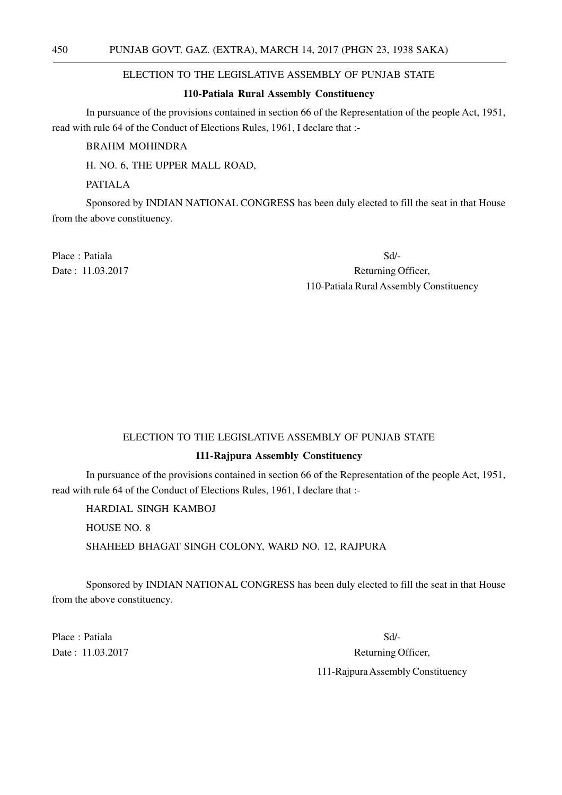#### **110-Patiala Rural Assembly Constituency**

In pursuance of the provisions contained in section 66 of the Representation of the people Act, 1951, read with rule 64 of the Conduct of Elections Rules, 1961, I declare that :-

#### BRAHM MOHINDRA

H. NO. 6, THE UPPER MALL ROAD,

PATIALA

Sponsored by INDIAN NATIONAL CONGRESS has been duly elected to fill the seat in that House from the above constituency.

Place : Patiala Sd<sup>1</sup>

Date : 11.03.2017 Returning Officer, 110-Patiala Rural Assembly Constituency

#### ELECTION TO THE LEGISLATIVE ASSEMBLY OF PUNJAB STATE

#### **111-Rajpura Assembly Constituency**

In pursuance of the provisions contained in section 66 of the Representation of the people Act, 1951, read with rule 64 of the Conduct of Elections Rules, 1961, I declare that :-

HARDIAL SINGH KAMBOJ

HOUSE NO. 8

SHAHEED BHAGAT SINGH COLONY, WARD NO. 12, RAJPURA

Sponsored by INDIAN NATIONAL CONGRESS has been duly elected to fill the seat in that House from the above constituency.

Place : Patiala Sd<sup>1</sup>-

Date : 11.03.2017 Returning Officer, 111-Rajpura Assembly Constituency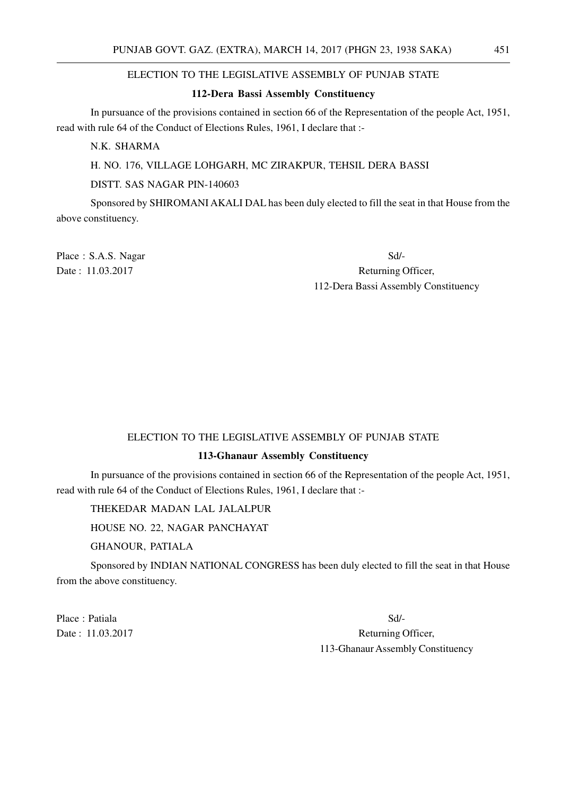#### **112-Dera Bassi Assembly Constituency**

In pursuance of the provisions contained in section 66 of the Representation of the people Act, 1951, read with rule 64 of the Conduct of Elections Rules, 1961, I declare that :-

N.K. SHARMA

H. NO. 176, VILLAGE LOHGARH, MC ZIRAKPUR, TEHSIL DERA BASSI

DISTT. SAS NAGAR PIN-140603

Sponsored by SHIROMANI AKALI DAL has been duly elected to fill the seat in that House from the above constituency.

Place : S.A.S. Nagar Sd<sup>1</sup>-

Date : 11.03.2017 Returning Officer, 112-Dera Bassi Assembly Constituency

#### ELECTION TO THE LEGISLATIVE ASSEMBLY OF PUNJAB STATE

#### **113-Ghanaur Assembly Constituency**

In pursuance of the provisions contained in section 66 of the Representation of the people Act, 1951, read with rule 64 of the Conduct of Elections Rules, 1961, I declare that :-

THEKEDAR MADAN LAL JALALPUR

HOUSE NO. 22, NAGAR PANCHAYAT

GHANOUR, PATIALA

Sponsored by INDIAN NATIONAL CONGRESS has been duly elected to fill the seat in that House from the above constituency.

Place : Patiala Sd<sup>1</sup>-Date : 11.03.2017 Returning Officer, 113-Ghanaur Assembly Constituency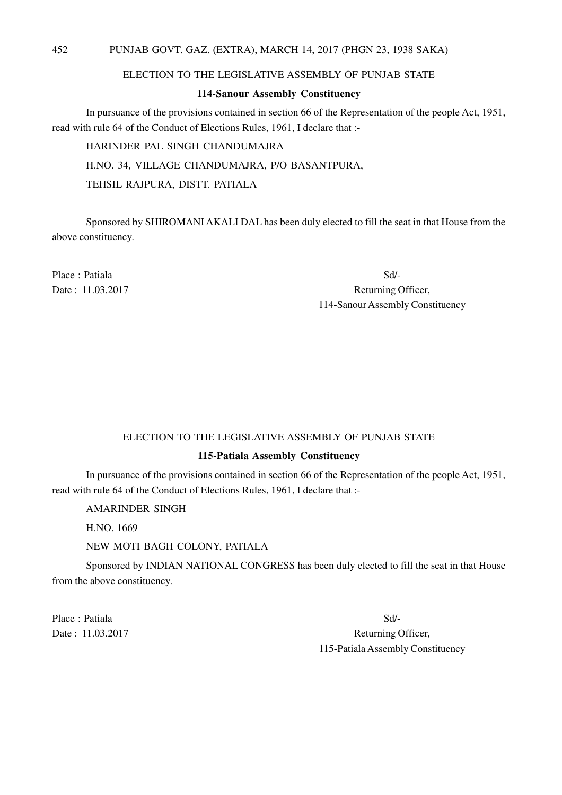#### **114-Sanour Assembly Constituency**

In pursuance of the provisions contained in section 66 of the Representation of the people Act, 1951, read with rule 64 of the Conduct of Elections Rules, 1961, I declare that :-

HARINDER PAL SINGH CHANDUMAJRA H.NO. 34, VILLAGE CHANDUMAJRA, P/O BASANTPURA, TEHSIL RAJPURA, DISTT. PATIALA

Sponsored by SHIROMANI AKALI DAL has been duly elected to fill the seat in that House from the above constituency.

Place : Patiala Sd<sup>1</sup>-Date : 11.03.2017 Returning Officer, 114-Sanour Assembly Constituency

#### ELECTION TO THE LEGISLATIVE ASSEMBLY OF PUNJAB STATE

#### **115-Patiala Assembly Constituency**

In pursuance of the provisions contained in section 66 of the Representation of the people Act, 1951, read with rule 64 of the Conduct of Elections Rules, 1961, I declare that :-

AMARINDER SINGH

H.NO. 1669

NEW MOTI BAGH COLONY, PATIALA

Sponsored by INDIAN NATIONAL CONGRESS has been duly elected to fill the seat in that House from the above constituency.

Place : Patiala Sd<sup>1</sup>-Date : 11.03.2017 Returning Officer, 115-Patiala Assembly Constituency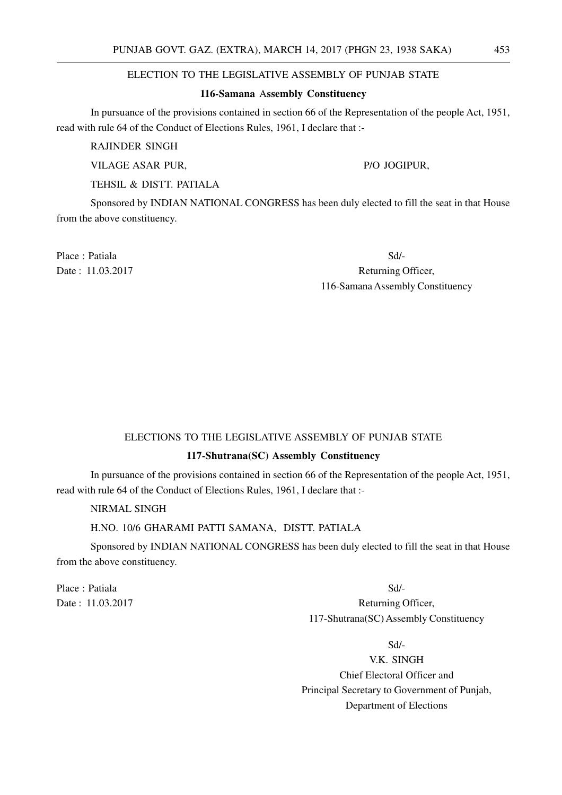#### **116-Samana** A**ssembly Constituency**

In pursuance of the provisions contained in section 66 of the Representation of the people Act, 1951, read with rule 64 of the Conduct of Elections Rules, 1961, I declare that :-

RAJINDER SINGH

VILAGE ASAR PUR, P/O JOGIPUR,

TEHSIL & DISTT. PATIALA

Sponsored by INDIAN NATIONAL CONGRESS has been duly elected to fill the seat in that House from the above constituency.

Place : Patiala Sd<sup>1</sup>

Date : 11.03.2017 Returning Officer, 116-Samana Assembly Constituency

#### ELECTIONS TO THE LEGISLATIVE ASSEMBLY OF PUNJAB STATE

#### **117-Shutrana(SC) Assembly Constituency**

In pursuance of the provisions contained in section 66 of the Representation of the people Act, 1951, read with rule 64 of the Conduct of Elections Rules, 1961, I declare that :-

#### NIRMAL SINGH

#### H.NO. 10/6 GHARAMI PATTI SAMANA, DISTT. PATIALA

Sponsored by INDIAN NATIONAL CONGRESS has been duly elected to fill the seat in that House from the above constituency.

Place : Patiala Sd<sup>1</sup>-

Date : 11.03.2017 Returning Officer, 117-Shutrana(SC) Assembly Constituency

Sd/-

V.K. SINGH Chief Electoral Officer and Principal Secretary to Government of Punjab, Department of Elections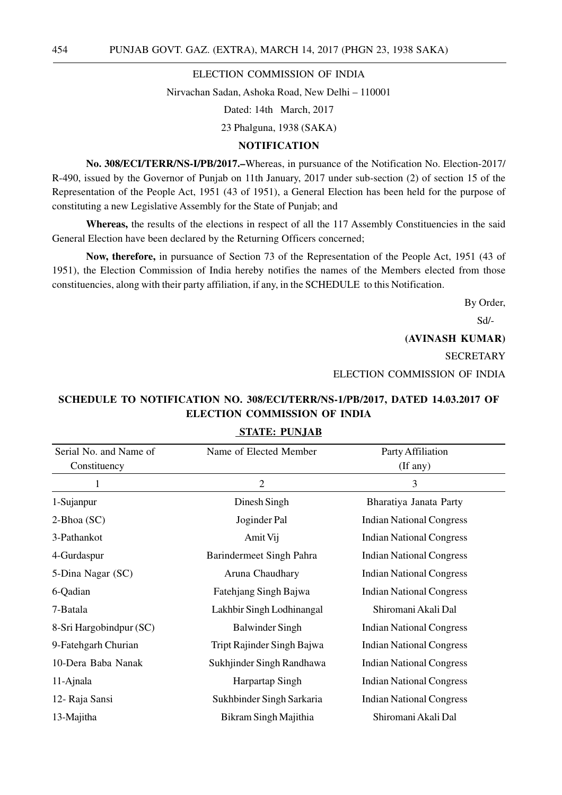#### ELECTION COMMISSION OF INDIA

Nirvachan Sadan, Ashoka Road, New Delhi – 110001

Dated: 14th March, 2017

23 Phalguna, 1938 (SAKA)

#### **NOTIFICATION**

**No. 308/ECI/TERR/NS-I/PB/2017.–**Whereas, in pursuance of the Notification No. Election-2017/ R-490, issued by the Governor of Punjab on 11th January, 2017 under sub-section (2) of section 15 of the Representation of the People Act, 1951 (43 of 1951), a General Election has been held for the purpose of constituting a new Legislative Assembly for the State of Punjab; and

**Whereas,** the results of the elections in respect of all the 117 Assembly Constituencies in the said General Election have been declared by the Returning Officers concerned;

**Now, therefore,** in pursuance of Section 73 of the Representation of the People Act, 1951 (43 of 1951), the Election Commission of India hereby notifies the names of the Members elected from those constituencies, along with their party affiliation, if any, in the SCHEDULE to this Notification.

By Order,

Sd/-

#### **(AVINASH KUMAR)**

**SECRETARY** 

ELECTION COMMISSION OF INDIA

# **SCHEDULE TO NOTIFICATION NO. 308/ECI/TERR/NS-1/PB/2017, DATED 14.03.2017 OF ELECTION COMMISSION OF INDIA**

#### **STATE: PUNJAB**

| Serial No. and Name of<br>Constituency | Name of Elected Member     | Party Affiliation<br>(If any)   |
|----------------------------------------|----------------------------|---------------------------------|
|                                        | $\overline{2}$             | 3                               |
| 1-Sujanpur                             | Dinesh Singh               | Bharatiya Janata Party          |
| $2$ -Bhoa (SC)                         | Joginder Pal               | <b>Indian National Congress</b> |
| 3-Pathankot                            | Amit Vij                   | <b>Indian National Congress</b> |
| 4-Gurdaspur                            | Barindermeet Singh Pahra   | <b>Indian National Congress</b> |
| 5-Dina Nagar (SC)                      | Aruna Chaudhary            | <b>Indian National Congress</b> |
| 6-Qadian                               | Fatehjang Singh Bajwa      | <b>Indian National Congress</b> |
| 7-Batala                               | Lakhbir Singh Lodhinangal  | Shiromani Akali Dal             |
| 8-Sri Hargobindpur (SC)                | <b>Balwinder Singh</b>     | <b>Indian National Congress</b> |
| 9-Fatehgarh Churian                    | Tript Rajinder Singh Bajwa | <b>Indian National Congress</b> |
| 10-Dera Baba Nanak                     | Sukhjinder Singh Randhawa  | <b>Indian National Congress</b> |
| $11-A$ jnala                           | Harpartap Singh            | <b>Indian National Congress</b> |
| 12- Raja Sansi                         | Sukhbinder Singh Sarkaria  | <b>Indian National Congress</b> |
| 13-Majitha                             | Bikram Singh Majithia      | Shiromani Akali Dal             |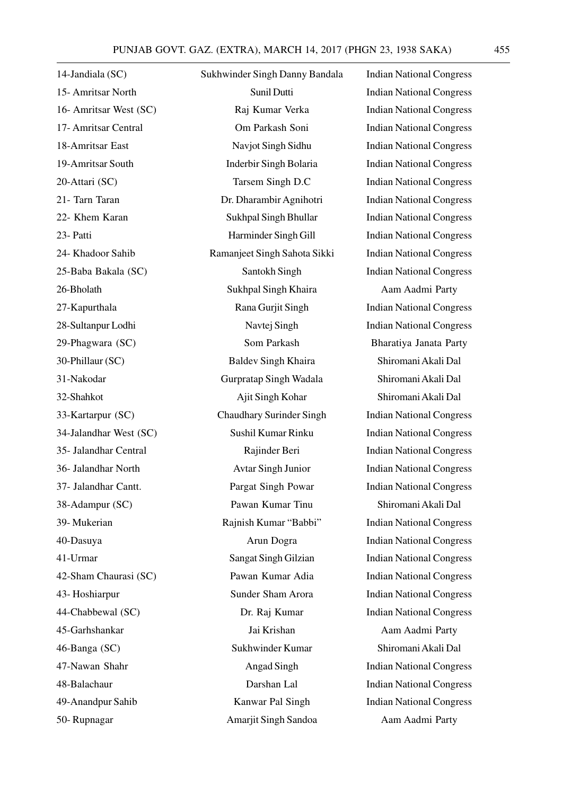14-Jandiala (SC) Sukhwinder Singh Danny Bandala Indian National Congress

15- Amritsar North Sunil Dutti Indian National Congress 16- Amritsar West (SC) Raj Kumar Verka Indian National Congress 17- Amritsar Central Om Parkash Soni Indian National Congress 18-Amritsar East Navjot Singh Sidhu Indian National Congress 19-Amritsar South Inderbir Singh Bolaria Indian National Congress 20-Attari (SC) Tarsem Singh D.C Indian National Congress 21- Tarn Taran Dr. Dharambir Agnihotri Indian National Congress 22- Khem Karan Sukhpal Singh Bhullar Indian National Congress 23- Patti Harminder Singh Gill Indian National Congress 24- Khadoor Sahib Ramanjeet Singh Sahota Sikki Indian National Congress 25-Baba Bakala (SC) Santokh Singh Indian National Congress 26-Bholath Sukhpal Singh Khaira Aam Aadmi Party 27-Kapurthala Rana Gurjit Singh Indian National Congress 28-Sultanpur Lodhi Navtej Singh Indian National Congress 29-Phagwara (SC) Som Parkash Bharatiya Janata Party 30-Phillaur (SC) Baldev Singh Khaira Shiromani Akali Dal 31-Nakodar Gurpratap Singh Wadala Shiromani Akali Dal 32-Shahkot Ajit Singh Kohar Shiromani Akali Dal 33-Kartarpur (SC) Chaudhary Surinder Singh Indian National Congress 34-Jalandhar West (SC) Sushil Kumar Rinku Indian National Congress 35- Jalandhar Central Rajinder Beri Indian National Congress 36- Jalandhar North Avtar Singh Junior Indian National Congress 37- Jalandhar Cantt. Pargat Singh Powar Indian National Congress 38-Adampur (SC) Pawan Kumar Tinu Shiromani Akali Dal 39- Mukerian Rajnish Kumar "Babbi" Indian National Congress 40-Dasuya Arun Dogra Indian National Congress 41-Urmar Sangat Singh Gilzian Indian National Congress 42-Sham Chaurasi (SC) Pawan Kumar Adia Indian National Congress 43- Hoshiarpur Sunder Sham Arora Indian National Congress 44-Chabbewal (SC) Dr. Raj Kumar Indian National Congress 45-Garhshankar Jai Krishan Aam Aadmi Party 46-Banga (SC) Sukhwinder Kumar Shiromani Akali Dal 47-Nawan Shahr Angad Singh Indian National Congress 48-Balachaur Darshan Lal Indian National Congress 49-Anandpur Sahib Kanwar Pal Singh Indian National Congress 50- Rupnagar Amarjit Singh Sandoa Aam Aadmi Party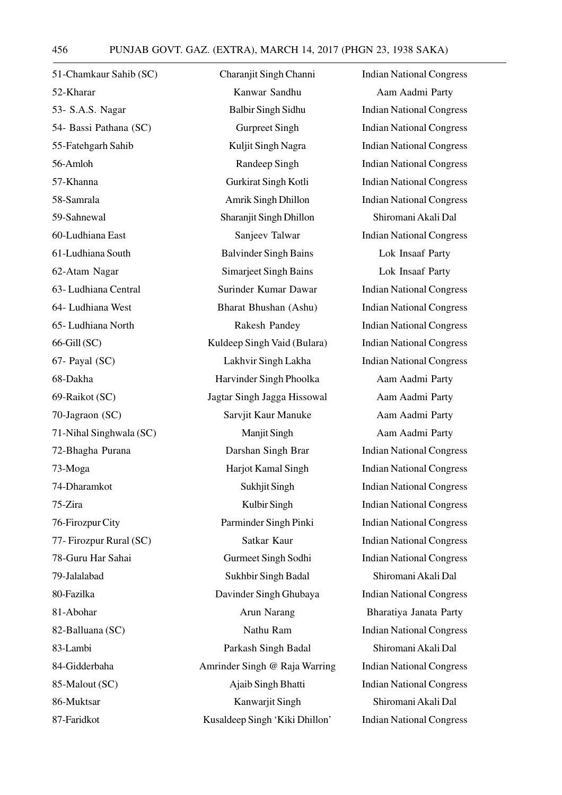51-Chamkaur Sahib (SC) Charanjit Singh Channi Indian National Congress

52-Kharar Kanwar Sandhu Aam Aadmi Party 53- S.A.S. Nagar Balbir Singh Sidhu Indian National Congress 54- Bassi Pathana (SC) Gurpreet Singh Indian National Congress 55-Fatehgarh Sahib Kuljit Singh Nagra Indian National Congress 56-Amloh Randeep Singh Indian National Congress 57-Khanna Gurkirat Singh Kotli Indian National Congress 58-Samrala Amrik Singh Dhillon Indian National Congress 59-Sahnewal Sharanjit Singh Dhillon Shiromani Akali Dal 60-Ludhiana East Sanjeev Talwar Indian National Congress 61-Ludhiana South Balvinder Singh Bains Lok Insaaf Party 62-Atam Nagar Simarjeet Singh Bains Lok Insaaf Party 63- Ludhiana Central Surinder Kumar Dawar Indian National Congress 64- Ludhiana West Bharat Bhushan (Ashu) Indian National Congress 65- Ludhiana North Rakesh Pandey Indian National Congress 66-Gill (SC) Kuldeep Singh Vaid (Bulara) Indian National Congress 67- Payal (SC) Lakhvir Singh Lakha Indian National Congress 68-Dakha Harvinder Singh Phoolka Aam Aadmi Party 69-Raikot (SC) Jagtar Singh Jagga Hissowal Aam Aadmi Party 70-Jagraon (SC) Sarvjit Kaur Manuke Aam Aadmi Party 71-Nihal Singhwala (SC) Manjit Singh Aam Aadmi Party 72-Bhagha Purana Darshan Singh Brar Indian National Congress 73-Moga Harjot Kamal Singh Indian National Congress 74-Dharamkot Sukhjit Singh Indian National Congress 75-Zira Kulbir Singh Indian National Congress 76-Firozpur City Parminder Singh Pinki Indian National Congress 77- Firozpur Rural (SC) Satkar Kaur Indian National Congress 78-Guru Har Sahai Gurmeet Singh Sodhi Indian National Congress 79-Jalalabad Sukhbir Singh Badal Shiromani Akali Dal 80-Fazilka Davinder Singh Ghubaya Indian National Congress 81-Abohar **Arun Narang Bharatiya Janata Party** 82-Balluana (SC) Nathu Ram Indian National Congress 83-Lambi Parkash Singh Badal Shiromani Akali Dal 84-Gidderbaha Amrinder Singh @ Raja Warring Indian National Congress 85-Malout (SC) Ajaib Singh Bhatti Indian National Congress 86-Muktsar Kanwarjit Singh Shiromani Akali Dal 87-Faridkot Kusaldeep Singh 'Kiki Dhillon' Indian National Congress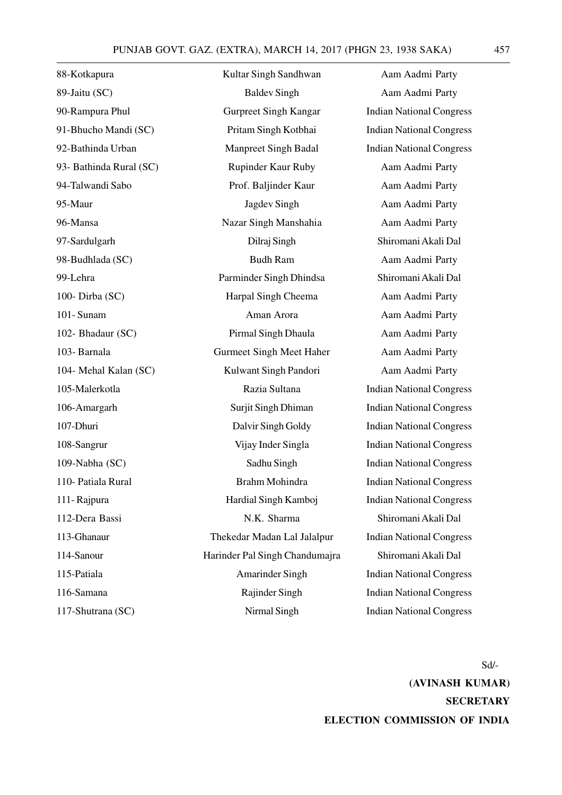88-Kotkapura Kultar Singh Sandhwan Aam Aadmi Party

89-Jaitu (SC) Baldev Singh Aam Aadmi Party 90-Rampura Phul Gurpreet Singh Kangar Indian National Congress 91-Bhucho Mandi (SC) Pritam Singh Kotbhai Indian National Congress 92-Bathinda Urban Manpreet Singh Badal Indian National Congress 93- Bathinda Rural (SC) Rupinder Kaur Ruby Aam Aadmi Party 94-Talwandi Sabo Prof. Baljinder Kaur Aam Aadmi Party 95-Maur **Iagdev Singh Aam Aadmi Party** Jagdev Singh Aam Aadmi Party 96-Mansa Nazar Singh Manshahia Aam Aadmi Party 97-Sardulgarh Dilraj Singh Shiromani Akali Dal 98-Budhlada (SC) Budh Ram Aam Aadmi Party 99-Lehra Parminder Singh Dhindsa Shiromani Akali Dal 100- Dirba (SC) **Harpal Singh Cheema** Aam Aadmi Party 101- Sunam Aman Arora Aam Aadmi Party 102- Bhadaur (SC) Pirmal Singh Dhaula Aam Aadmi Party 103- Barnala **103- Barnala** Gurmeet Singh Meet Haher Aam Aadmi Party 104- Mehal Kalan (SC) Kulwant Singh Pandori Aam Aadmi Party 105-Malerkotla Razia Sultana Indian National Congress 106-Amargarh Surjit Singh Dhiman Indian National Congress 107-Dhuri Dalvir Singh Goldy Indian National Congress 108-Sangrur Vijay Inder Singla Indian National Congress 109-Nabha (SC) Sadhu Singh Indian National Congress 110- Patiala Rural Brahm Mohindra Indian National Congress 111- Rajpura Hardial Singh Kamboj Indian National Congress 112-Dera Bassi N.K. Sharma Shiromani Akali Dal 113-Ghanaur Thekedar Madan Lal Jalalpur Indian National Congress 114-Sanour Harinder Pal Singh Chandumajra Shiromani Akali Dal 115-Patiala Amarinder Singh Indian National Congress 116-Samana Rajinder Singh Indian National Congress 117-Shutrana (SC) **Nirmal Singh** Indian National Congress

Sd/- **(AVINASH KUMAR) SECRETARY ELECTION COMMISSION OF INDIA**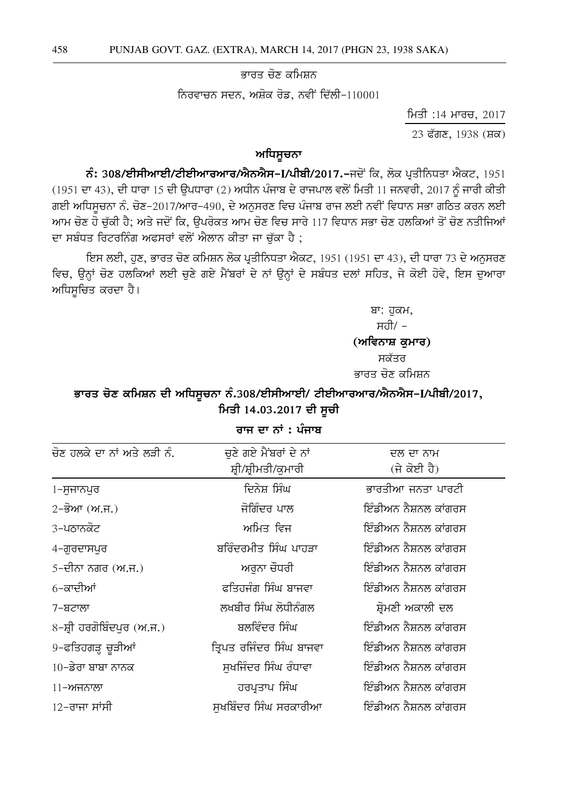ਭਾਰਤ ਚੋਣ ਕਮਿਸ਼ਨ

ਨਿਰਵਾਚਨ ਸਦਨ, ਅਸ਼ੋਕ ਰੋਡ, ਨਵੀਂ ਦਿੱਲੀ- $110001$ 

<u>ਸਿਤੀ :14 ਮਾਰਚ, 2017</u>  $23$  ਫੱਗਣ, 1938 (ਸ਼ਕ)

# ਅਧਿਸੂਚਨਾ

 $\hat{\mathbf{b}}$ : 308/ਈਸੀਆਈ/ਟੀਈਆਰਆਰ/ਐਨਐਸ-I/ਪੀਬੀ/2017.-ਜਦੋਂ ਕਿ, ਲੋਕ ਪ੍ਰਤੀਨਿਧਤਾ ਐਕਟ, 1951 (1951 ਦਾ 43), ਦੀ ਧਾਰਾ 15 ਦੀ ਉਪਧਾਰਾ (2) ਅਧੀਨ ਪੰਜਾਬ ਦੇ ਰਾਜਪਾਲ ਵਲੋਂ ਮਿਤੀ 11 ਜਨਵਰੀ, 2017 ਨੂੰ ਜਾਰੀ ਕੀਤੀ ਗਈ ਅਧਿਸੂਚਨਾ ਨੰ. ਚੋਣ-2017/ਆਰ-490, ਦੇ ਅਨੁਸਰਣ ਵਿਚ ਪੰਜਾਬ ਰਾਜ ਲਈ ਨਵੀਂ ਵਿਧਾਨ ਸਭਾ ਗਠਿਤ ਕਰਨ ਲਈ ਆਮ ਚੋਣ ਹੋ ਚੱਕੀ ਹੈ; ਅਤੇ ਜਦੋਂ ਕਿ, ੳਪਰੋਕਤ ਆਮ ਚੋਣ ਵਿਚ ਸਾਰੇ 117 ਵਿਧਾਨ ਸਭਾ ਚੋਣ ਹਲਕਿਆਂ ਤੋਂ ਚੋਣ ਨਤੀਜਿਆਂ ਦਾ ਸਬੰਧਤ ਰਿਟਰਨਿੰਗ ਅਫਸਰਾਂ ਵਲੋਂ ਐਲਾਨ ਕੀਤਾ ਜਾ ਚੱਕਾ ਹੈ ;

<u>ਇਸ ਲਈ, ਹੁਣ, ਭਾਰਤ ਚੋਣ ਕਮਿਸ਼ਨ ਲੋਕ ਪ੍ਰਤੀਨਿਧਤਾ ਐਕਟ, 1951 (1951 ਦਾ 43), ਦੀ ਧਾਰਾ 73 ਦੇ ਅਨੁਸਰਣ</u> ਵਿਚ, ਉਨ੍ਹਾਂ ਚੋਣ ਹਲਕਿਆਂ ਲਈ ਚੁਣੇ ਗਏ ਮੈਂਬਰਾਂ ਦੇ ਨਾਂ ਉਨ੍ਹਾਂ ਦੇ ਸਬੰਧਤ ਦਲਾਂ ਸਹਿਤ, ਜੇ ਕੋਈ ਹੋਵੇ, ਇਸ ਦੁਆਰਾ ਅਧਿਸਚਿਤ ਕਰਦਾ ਹੈ।

> ਬਾ: ਹੁਕਮ, ਸਹੀ $/$  – (ਅਵਿਨਾਸ਼ ਕੁਮਾ**ਰ**) ਸਕੱਤਰ ਭਾਰਤ ਚੋਣ ਕਮਿਸ਼ਨ

# **Gkos u'D efwPB dh nfX;{uBk BzH308\$Jh;hnkJh\$ NhJhnkonko\$n?Bn?;^I\$ghph\$2017,** ਮਿਤੀ 14**.**03.2017 ਦੀ ਸੂਚੀ

| ਚੁਣੇ ਗਏ ਮੈਂਬਰਾਂ ਦੇ ਨਾਂ   | ਦਲ ਦਾ ਨਾਮ             |
|--------------------------|-----------------------|
|                          | (ਜੇ ਕੋਈ ਹੈ)           |
| ਦਿਨੇਸ਼ ਸਿੰਘ              | ਭਾਰਤੀਆ ਜਨਤਾ ਪਾਰਟੀ     |
| ਜੋਗਿੰਦਰ ਪਾਲ              | ਇੰਡੀਅਨ ਨੈਸ਼ਨਲ ਕਾਂਗਰਸ  |
| ਅਮਿਤ ਵਿਜ                 | ਇੰਡੀਅਨ ਨੈਸ਼ਨਲ ਕਾਂਗਰਸ  |
| ਬਰਿੰਦਰਮੀਤ ਸਿੰਘ ਪਾਹੜਾ     | ਇੰਡੀਅਨ ਨੈਸ਼ਨਲ ਕਾਂਗਰਸ  |
| ਅਰੁਨਾ ਚੌਧਰੀ              | ਇੰਡੀਅਨ ਨੈਸ਼ਨਲ ਕਾਂਗਰਸ  |
| ਫਤਿਹਜੰਗ ਸਿੰਘ ਬਾਜਵਾ       | ਇੰਡੀਅਨ ਨੈਸ਼ਨਲ ਕਾਂਗਰਸ  |
| ਲਖਬੀਰ ਸਿੰਘ ਲੋਧੀਨੰਗਲ      | ਸ਼੍ਰੋਮਣੀ ਅਕਾਲੀ ਦਲ     |
| ਬਲਵਿੰਦਰ ਸਿੰਘ             | ਇੰਡੀਅਨ ਨੈਸ਼ਨਲ ਕਾਂਗਰਸ  |
| ਤ੍ਰਿਪਤ ਰਜਿੰਦਰ ਸਿੰਘ ਬਾਜਵਾ | ਇੰਡੀਅਨ ਨੈਸ਼ਨਲ ਕਾਂਗਰਸ  |
| ਸੁਖਜਿੰਦਰ ਸਿੰਘ ਰੰਧਾਵਾ     | ਇੰਡੀਅਨ ਨੈਸ਼ਨਲ ਕਾਂਗਰਸ  |
| ਹਰਪ੍ਰਤਾਪ ਸਿੰਘ            | ਇੰਡੀਅਨ ਨੈਸ਼ਨਲ ਕਾਂਗਰਸ  |
| ਸਖਬਿੰਦਰ ਸਿੰਘ ਸਰਕਾਰੀਆ     | ਇੰਡੀਅਨ ਨੈਸ਼ਨਲ ਕਾਂਗਰਸ  |
|                          | ਸ਼੍ਰੀ/ਸ਼੍ਰੀਮਤੀ/ਕੁਮਾਰੀ |

# ਰਾਜ ਦਾ ਨਾਂ : ਪੰਜਾ**ਬ**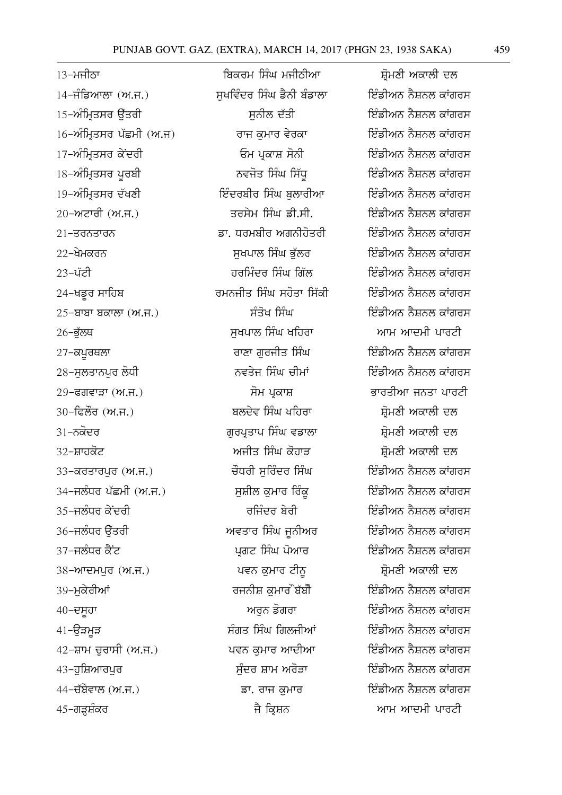13^wihmk fpeow f;zx wihmhnk Pq'wDh nekbh db 14-ਜੰਡਿਆਲਾ (ਅ.ਜ.) ਸਖਵਿੰਦਰ ਸਿੰਘ ਡੈਨੀ ਬੰਡਾਲਾ ਇੰਡੀਅਨ ਨੈਸ਼ਨਲ ਕਾਂਗਰਸ 15^nzfwqs;o T[Zsoh ;[Bhb dZsh fJzvhnB B?PBb eKro; 16-ਅੰਮ੍ਰਿਤਸਰ ਪੱਛਮੀ (ਅ.ਜ) ਰਾਜ ਕਮਾਰ ਵੇਰਕਾ ਇੰਡੀਅਨ ਨੈਸ਼ਨਲ ਕਾਂਗਰਸ 17-ਅੰਮ੍ਰਿਤਸਰ ਕੇਂਦਰੀ ਓਮ ਪੁਕਾਸ਼ ਸੋਨੀ ਇੰਡੀਅਨ ਨੈਸ਼ਨਲ ਕਾਂਗਰਸ 18-ਅੰਮ੍ਰਿਤਸਰ ਪਰਬੀ ਨਵਜੋਤ ਸਿੰਘ ਸਿੱਧ ਇੰਡੀਅਨ ਨੈਸ਼ਨਲ ਕਾਂਗਰਸ 19-ਅੰਮ੍ਰਿਤਸਰ ਦੱਖਣੀ ਇੰਦਰਬੀਰ ਸਿੰਘ ਬਲਾਰੀਆ ਇੰਡੀਅਨ ਨੈਸ਼ਨਲ ਕਾਂਗਰਸ  $20$ –ਅਟਾਰੀ (ਅ.ਜ.)  $\overline{3}$ ਤਰਸੇਮ ਸਿੰਘ ਡੀ.ਸੀ. ਇੰਡੀਅਨ ਨੈਸ਼ਨਲ ਕਾਂਗਰਸ 21-ਤਰਨਤਾਰਨ ਡਾ. ਧਰਮਬੀਰ ਅਗਨੀਹੋਤਰੀ ਇੰਡੀਅਨ ਨੈਸ਼ਨਲ ਕਾਂਗਰਸ 22^y/weoB ;[ygkb f;zx G[Zbo fJzvhnB B?PBb eKro; 23-ਪੱਟੀ ਤਿਆਮ ਅਤੇ ਹਰਮਿੰਦਰ ਸਿੰਘ ਗਿੱਲ ਵਿੰਡੀਅਨ ਨੈਸ਼ਨਲ ਕਾਂਗਰਸ 24-ਖਡਰ ਸਾਹਿਬ ਰਮਨਜੀਤ ਸਿੰਘ ਸਹੋਤਾ ਸਿੱਕੀ ਇੰਡੀਅਨ ਨੈਸ਼ਨਲ ਕਾਂਗਰਸ 25-ਬਾਬਾ ਬਕਾਲਾ (ਅ.ਜ.) ਸੰਤੋਖ ਸਿੰਘ ਇੰਡੀਅਨ ਨੈਸ਼ਨਲ ਕਾਂਗਰਸ 26^G[ZbE ;[ygkb f;zx yfjok nkw nkdwh gkoNh 27-ਕਪੂਰਥਲਾ ਰਾਣਾ ਗੁਰਜੀਤ ਸਿੰਘ ਇੰਡੀਅਨ ਨੈਸ਼ਨਲ ਕਾਂਗਰਸ 28-ਸਲਤਾਨਪਰ ਲੋਧੀ ਨਵਤੇਜ ਸਿੰਘ ਚੀਮਾਂ ਇੰਡੀਅਨ ਨੈਸ਼ਨਲ ਕਾਂਗਰਸ 29^crtkVk (nHiH) ;'w gqekP Gkoshnk iBsk gkoNh 30^fcb"o (nHiH) pbd/t f;zx yfjok Pq'wDh nekbh db 31-ਨਕੋਦਰ ਤਿਆਰਾ ਕਰਪਤਾਪ ਸਿੰਘ ਵਡਾਲਾ ਸ਼ੋਮਣੀ ਅਕਾਲੀ ਦਲ <u>32-ਸ਼ਾਹਕੋਟ ਤਿਹਾਬਿਲ ਅਜੀਤ ਸਿੰਘ ਕੋਹਾੜ ਅਜੀਤ ਸਿੰਘ ਹੋਰਾੜ ਅ</u> 33-ਕਰਤਾਰਪਰ (ਅ.ਜ.) ਚੌਧਰੀ ਸਰਿੰਦਰ ਸਿੰਘ ਇੰਡੀਅਨ ਨੈਸ਼ਨਲ ਕਾਂਗਰਸ 34-ਜਲੰਧਰ ਪੱਛਮੀ (ਅ.ਜ.) ਸੁਸ਼ੀਲ ਕੁਮਾਰ ਰਿੰਕ ਇੰਡੀਅਨ ਨੈਸ਼ਨਲ ਕਾਂਗਰਸ 35^ibzXo e/Adoh ofizdo p/oh fJzvhnB B?PBb eKro; 36^ibzXo T[Zsoh ntsko f;zx i{Bhno fJzvhnB B?PBb eKro; <u>37-ਜਲੰਧਰ ਕੈਂਟ</u> ਪੁਗਟ ਸਿੰਘ ਪੋਆਰ ਇੰਡੀਅਨ ਨੈਸ਼ਨਲ ਕਾਂਗਰਸ 38-ਆਦਮਪੁਰ (ਅ.ਜ.) ਪਵਨ ਕੁਮਾਰ ਟੀਨੁ ਸ਼੍ਰੋਮਣੀ ਅਕਾਲੀ ਦਲ 39^w[e/ohnK oiBhP e[wko "pZph" fJzvhnB B?PBb eKro; 40^d;{jk no[B v'rok fJzvhnB B?PBb eKro; 41^T[Vw{V ;zrs f;zx frbihnK fJzvhnB B?PBb eKro; 42-ਸ਼ਾਮ ਚੁਰਾਸੀ (ਅ.ਜ.) ਪਵਨ ਕੁਮਾਰ ਆਦੀਆ ਇੰਡੀਅਨ ਨੈਸ਼ਨਲ ਕਾਂਗਰਸ 43-ਹਸ਼ਿਆਰਪਰ ਸੰਦਰ ਸ਼ਾਮ ਅਰੋੜਾ ਇੰਡੀਅਨ ਨੈਸ਼ਨਲ ਕਾਂਗਰਸ 44-ਚੱਬੇਵਾਲ (ਅ.ਜ.) ਡਾ. ਰਾਜ ਕਮਾਰ ਇੰਡੀਅਨ ਨੈਸ਼ਨਲ ਕਾਂਗਰਸ

45-ਗੜ੍ਹਸ਼ੰਕਰ ਵਿੱਚ ਸ਼ਾਹਿ ਹਨ ਜੋ ਕ੍ਰਿਸ਼ਨ ਅਾਮ ਆਦਮੀ ਪਾਰਟੀ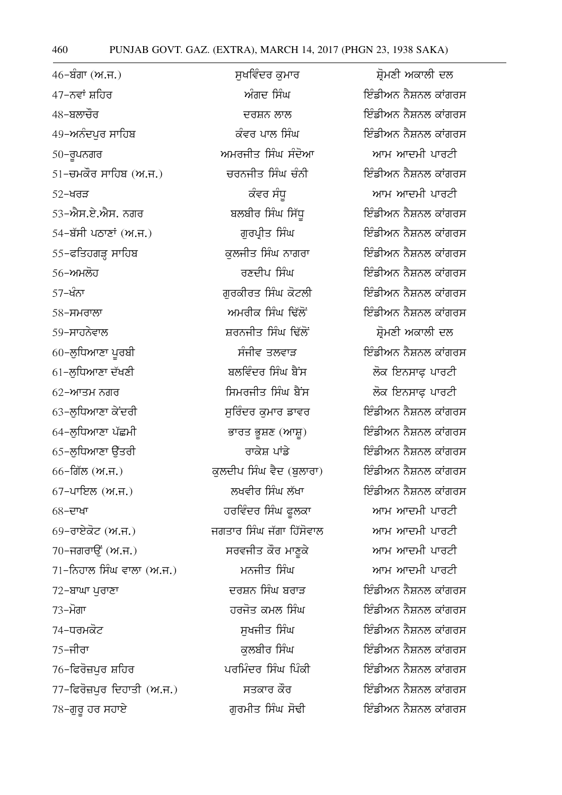46^pzrk (nHiH) ;[yftzdo e[wko Pq'wDh nekbh db 47^BtK Pfjo nzrd f;zx fJzvhnB B?PBb eKro;  $48$ –ਸ਼ਲਾਚੌਰ ਵਿੱਚ ਬਾਅਦ ਦਰਸ਼ਨ ਲਾਲ ਵਿੱਡੀਅਨ ਨੈਸ਼ਨਲ ਕਾਂਗਰਸ 49-ਅਨੰਦਪੁਰ ਸਾਹਿਬ ਕੰਵਰ ਪਾਲ ਸਿੰਘ ਇੰਡੀਅਨ ਨੈਸ਼ਨਲ ਕਾਂਗਰਸ 50^o{gBro nwoihs f;zx ;zd'nk nkw nkdwh gkoNh 51-ਚਮਕੌਰ ਸਾਹਿਬ (ਅ.ਜ.) ਚਰਨਜੀਤ ਸਿੰਘ ਚੰਨੀ ਇੰਡੀਅਨ ਨੈਸ਼ਨਲ ਕਾਂਗਰਸ  $52$ -ਖਰੜ ਵਿੱਚ ਸੰਧ ਵਿੱਚ ਸੰਧ ਅਮ ਆਦਮੀ ਪਾਰਟੀ 53-ਐਸ.ਏ.ਐਸ. ਨਗਰ ਬਲਬੀਰ ਸਿੰਘ ਸਿੱਧੁ ਇੰਡੀਅਨ ਨੈਸ਼ਨਲ ਕਾਂਗਰਸ 54-ਬੱਸੀ ਪਠਾਣਾਂ (ਅ.ਜ.) ਗਰਪੀਤ ਸਿੰਘ ਇੰਡੀਅਨ ਨੈਸ਼ਨਲ ਕਾਂਗਰਸ 55-ਫਤਿਹਗੜ੍ਹ ਸਾਹਿਬ ਕੁਲਜੀਤ ਸਿੰਘ ਨਾਗਰਾ ਇੰਡੀਅਨ ਨੈਸ਼ਨਲ ਕਾਂਗਰਸ 56^nwb'j oDdhg f;zx fJzvhnB B?PBb eKro; 57^yzBk r[oehos f;zx e'Nbh fJzvhnB B?PBb eKro; 58^;wokbk nwohe f;zx fYZb'A fJzvhnB B?PBb eKro; 59^;kjB/tkb PoBihs f;zx fYZb'A Pq'wDh nekbh db 60-ਲੁਧਿਆਣਾ ਪੁਰਬੀ ਸੰਜੀਵ ਤਲਵਾੜ ਇੰਡੀਅਨ ਨੈਸ਼ਨਲ ਕਾਂਗਰਸ 61^b[fXnkDk dZyDh pbftzdo f;zx p?A; b'e fJB;kca gkoNh 62^nksw Bro f;woihs f;zx p?A; b'e fJB;kca gkoNh 63-ਲਧਿਆਣਾ ਕੇਂਦਰੀ ਸਰਿੰਦਰ ਕਮਾਰ ਡਾਵਰ ਇੰਡੀਅਨ ਨੈਸ਼ਨਲ ਕਾਂਗਰਸ 64^b[fXnkDk gZSwh Gkos G{PD (nkP{) fJzvhnB B?PBb eKro; 65-ਲੁਧਿਆਣਾ ਉੱਤਰੀ ਰਾਕੇਸ਼ ਪਾਂਡੇ ਇੰਡੀਅਨ ਨੈਸ਼ਨਲ ਕਾਂਗਰਸ 66-ਗਿੱਲ (ਅ.ਜ.) ਕਲਦੀਪ ਸਿੰਘ ਵੈਦ (ਬਲਾਰਾ) ਇੰਡੀਅਨ ਨੈਸ਼ਨਲ ਕਾਂਗਰਸ 67^gkfJb (nHiH) bytho f;zx bZyk fJzvhnB B?PBb eKro; 68-ਦਾਖਾ ਵਿੱਚ ਹਰਵਿੰਦਰ ਸਿੰਘ ਫਲਕਾ ਅਾਮ ਆਦਮੀ ਪਾਰਟੀ 69^okJ/e'N (nHiH) irsko f;zx iZrk fjZ;'tkb nkw nkdwh gkoNh 70^irokTA[ (nHiH) ;otihs e"o wkD{e/ nkw nkdwh gkoNh  $71$ –ਨਿਹਾਲ ਸਿੰਘ ਵਾਲਾ (ਅ.ਜ.)  $\overline{a}$ ਮਨਜੀਤ ਸਿੰਘ  $\overline{a}$  ਅਾਮ ਆਦਮੀ ਪਾਰਟੀ 72^pkxk g[okDk doPB f;zx pokV fJzvhnB B?PBb eKro; 73-ਮੋਗਾ ਹਰਜੋਤ ਕਮਲ ਸਿੰਘ ਇੰਡੀਅਨ ਨੈਸ਼ਨਲ ਕਾਂਗਰਸ 74^Xowe'N ;[yihs f;zx fJzvhnB B?PBb eKro; 75^ihok e[bpho f;zx fJzvhnB B?PBb eKro; 76-ਫਿਰੋਜ਼ਪਰ ਸ਼ਹਿਰ ਪਰਮਿੰਦਰ ਸਿੰਘ ਪਿੰਕੀ ਇੰਡੀਅਨ ਨੈਸ਼ਨਲ ਕਾਂਗਰਸ 77^fco'Ig[o fdjksh (nHiH) ;seko e"o fJzvhnB B?PBb eKro;

78-ਗੁਰੂ ਹਰ ਸਹਾਏ ਗੁਰਮੀਤ ਸਿੰਘ ਸੋਢੀ ਇੰਡੀਅਨ ਨੈਸ਼ਨਲ ਕਾਂਗਰਸ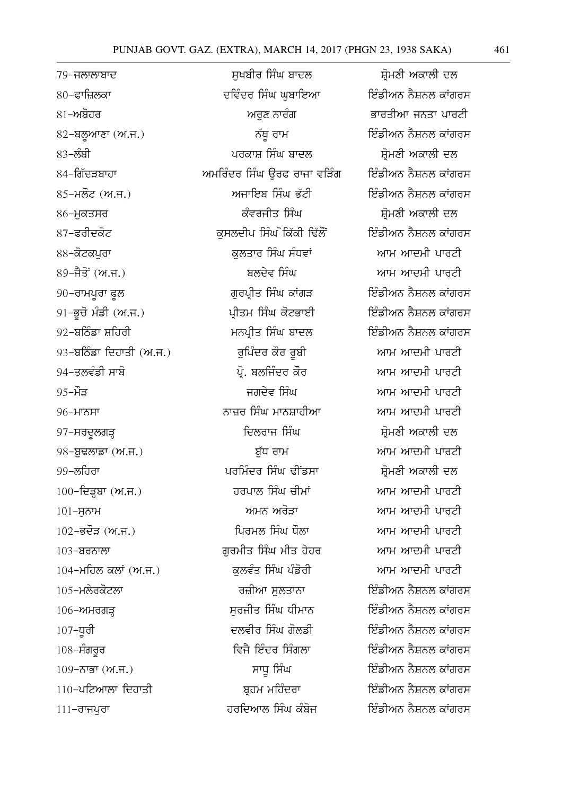79^ibkbkpkd ;[ypho f;zx pkdb Pq'wDh nekbh db

80^ckfIbek dftzdo f;zx x[pkfJnk fJzvhnB B?PBb eKro; 81^np'jo no[D Bkozr Gkoshnk iBsk gkoNh 82-ਬਲੂਆਣਾ (ਅ.ਜ.) ਨੱਥੂ ਰਾਮ ਇੰਡੀਅਨ ਨੈਸ਼ਨਲ ਕਾਂਗਰਸ 83-ਲੰਬੀ ਵਿੱਚ ਵਿੱਚ ਅਕਾਲੀ ਦਲ ਅਤੇ ਪਰਕਾਸ਼ ਸਿੰਘ ਬਾਦਲ ਵਿੱਚ ਸ਼ੋਮਣੀ ਅਕਾਲੀ ਦਲ 84^frZdVpkjk nwfozdo f;zx T[oc okik tfVzr fJzvhnB B?PBb eKro; 85^wb"N (nHiH) nikfJp f;zx GZNh fJzvhnB B?PBb eKro; 86^w[es;o eztoihs f;zx Pq'wDh nekbh db 87-ਫਰੀਦਕੋਟ ਕਸਲਦੀਪ ਸਿੰਘੋ ਕਿੱਕੀ ਢਿੱਲੋਂ ਇੰਡੀਅਨ ਨੈਸ਼ਨਲ ਕਾਂਗਰਸ 88^e'Neg[ok e[bsko f;zx ;zXtK nkw nkdwh gkoNh  $89 - \frac{1}{12}$  (ਅ.ਜ.) bdd when the base for the state of the pole of the state  $\frac{1}{12}$  and  $\frac{1}{12}$  and  $\frac{1}{12}$  and  $\frac{1}{12}$  and  $\frac{1}{12}$  and  $\frac{1}{12}$  and  $\frac{1}{12}$  and  $\frac{1}{12}$  and  $\frac{1}{12}$  and  $\frac{1}{1$ 90-ਰਾਮਪੁਰਾ ਫੁਲ ਗੁਰਪ੍ਰੀਤ ਸਿੰਘ ਕਾਂਗੜ ਇੰਡੀਅਨ ਨੈਸ਼ਨਲ ਕਾਂਗਰਸ 91-ਭਚੋ ਮੰਡੀ (ਅ.ਜ.) ਪ੍ਰੀਤਮ ਸਿੰਘ ਕੋਟਭਾਈ ਇੰਡੀਅਨ ਨੈਸ਼ਨਲ ਕਾਂਗਰਸ 92^pfmzvk Pfjoh wBgqhs f;zx pkdb fJzvhnB B?PBb eKro; 93^pfmzvk fdjksh (nHiH) o[fgzdo e"o o{ph nkw nkdwh gkoNh 94^sbtzvh ;kp' gq'H pbfizdo e"o nkw nkdwh gkoNh 95-ਮੌਤ ਵਿੱਚ ਸੰਗਰੀ ਦਾ ਸੰਗਰੇਵ ਸਿੰਘ ਹੈ। ਅਸਮ ਆਦਮੀ ਪਾਰਟੀ 96^wkB;k BkIo f;zx wkBPkjhnk nkw nkdwh gkoNh 97^;od{brVQ fdboki f;zx Pq'wDh nekbh db  $98$ –ਬਢਲਾਡਾ (ਅ.ਜ.)  $\frac{1}{2}$  ਬੱਧ ਰਾਮ ਵਿੱਚ ਅਮਮ ਆਦਮੀ ਪਾਰਟੀ 99-ਲਹਿਰਾ ਪਰਮਿੰਦਰ ਸਿੰਘ ਢੀਂਡਸਾ ਸ਼ੋਮਣੀ ਅਕਾਲੀ ਦਲ 100^fdVQpk (nHiH) jogkb f;zx uhwK nkw nkdwh gkoNh  $101$ –ਸਨਾਮ ਵਿੱਚ ਸ਼ਹਿਰ ਅਮਨ ਅਰੋੜਾ ਅਮਾਮ ਆਦਮੀ ਪਾਰਟੀ  $102$ –ਭਦੌੜ (ਅ.ਜ.)  $\overline{u}$  ਵਿਰਮਲ ਸਿੰਘ ਧੌਲਾ ਨਾਲ ਆਮ ਆਦਮੀ ਪਾਰਟੀ 103^poBkbk r[owhs f;zx whs j/jo nkw nkdwh gkoNh 104^wfjb ebK (nHiH) e[btzs f;zx gzv'oh nkw nkdwh gkoNh 105-ਮਲੇਰਕੋਟਲਾ ਰਜ਼ੀਆ ਸੁਲਤਾਨਾ ਇੰਡੀਅਨ ਨੈਸ਼ਨਲ ਕਾਂਗਰਸ 106-ਅਮਰਗੜ੍ਹ ਸੁਰਜੀਤ ਸਿੰਘ ਧੀਮਾਨ ਇੰਡੀਅਨ ਨੈਸ਼ਨਲ ਕਾਂਗਰਸ 107^X{oh dbtho f;zx r'bvh fJzvhnB B?PBb eKro; 108^;zro{o fti? fJzdo f;zrbk fJzvhnB B?PBb eKro; 109^BkGk (nHiH) ;kX{ f;zx fJzvhnB B?PBb eKro; 110^gfNnkbk fdjksh pqjw wfjzdok fJzvhnB B?PBb eKro; 111-ਰਾਜਪੁਰਾ ਹਰਦਿਆਲ ਸਿੰਘ ਕੰਬੋਜ ਇੰਡੀਅਨ ਨੈਸ਼ਨਲ ਕਾਂਗਰਸ